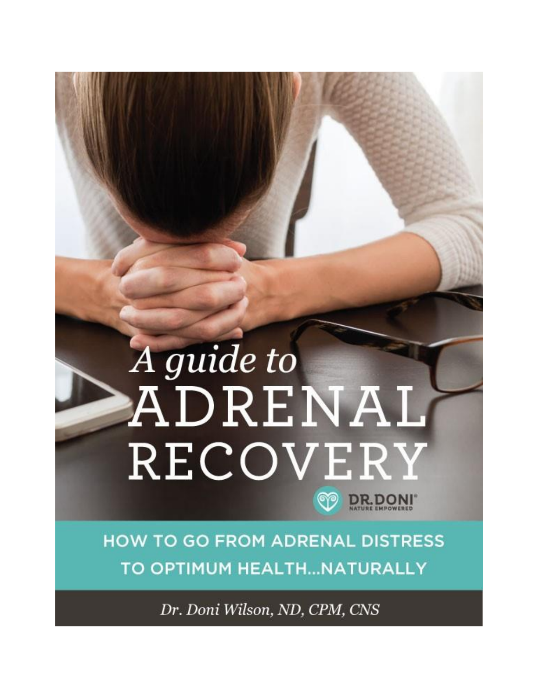# A guide to ADRENAL RECOVERY **DR.DONI**

**HOW TO GO FROM ADRENAL DISTRESS** TO OPTIMUM HEALTH...NATURALLY

Dr. Doni Wilson, ND, CPM, CNS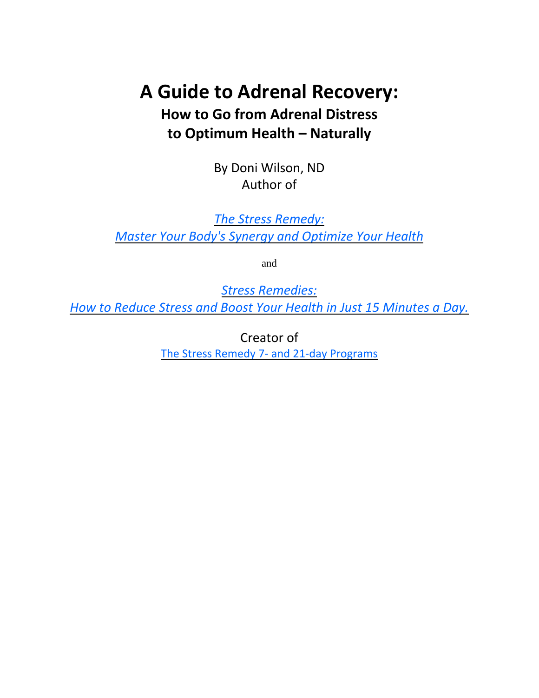## **A Guide to Adrenal Recovery: How to Go from Adrenal Distress to Optimum Health – Naturally**

By Doni Wilson, ND Author of

*The Stress [Remedy:](http://doctordoni.com/stress-remedy) Master Your Body's Synergy and [Optimize](http://doctordoni.com/stress-remedy) Your Health*

and

*Stress [Remedies:](https://doctordoni.com/stress-remedies-ebook/)*

*How to Reduce Stress and Boost Your Health in Just 15 [Minutes](https://doctordoni.com/stress-remedies-ebook/) a Day.*

Creator of The Stress Remedy 7- and 21-day [Programs](http://doctordoni.com/stress-remedy)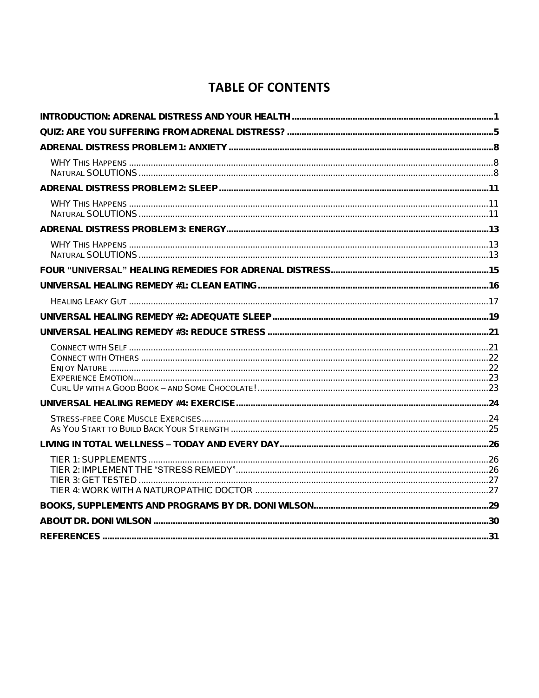## **TABLE OF CONTENTS**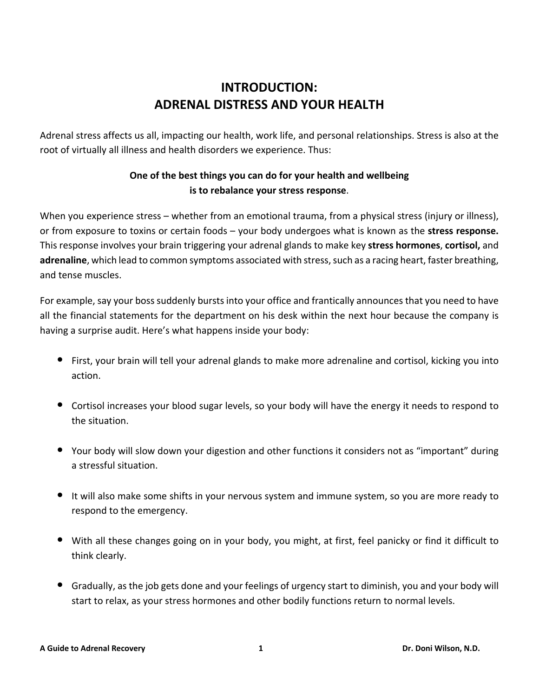## **INTRODUCTION: ADRENAL DISTRESS AND YOUR HEALTH**

<span id="page-3-0"></span>Adrenal stress affects us all, impacting our health, work life, and personal relationships. Stress is also at the root of virtually all illness and health disorders we experience. Thus:

### **One of the best things you can do for your health and wellbeing is to rebalance your stress response**.

When you experience stress – whether from an emotional trauma, from a physical stress (injury or illness), or from exposure to toxins or certain foods – your body undergoes what is known as the **stress response.** This response involves your brain triggering your adrenal glands to make key **stress hormones**, **cortisol,** and adrenaline, which lead to common symptoms associated with stress, such as a racing heart, faster breathing, and tense muscles.

For example, say your boss suddenly bursts into your office and frantically announces that you need to have all the financial statements for the department on his desk within the next hour because the company is having a surprise audit. Here's what happens inside your body:

- First, your brain will tell your adrenal glands to make more adrenaline and cortisol, kicking you into action.
- Cortisol increases your blood sugar levels, so your body will have the energy it needs to respond to the situation.
- Your body will slow down your digestion and other functions it considers not as "important" during a stressful situation.
- It will also make some shifts in your nervous system and immune system, so you are more ready to respond to the emergency.
- With all these changes going on in your body, you might, at first, feel panicky or find it difficult to think clearly.
- Gradually, as the job gets done and your feelings of urgency start to diminish, you and your body will start to relax, as your stress hormones and other bodily functions return to normal levels.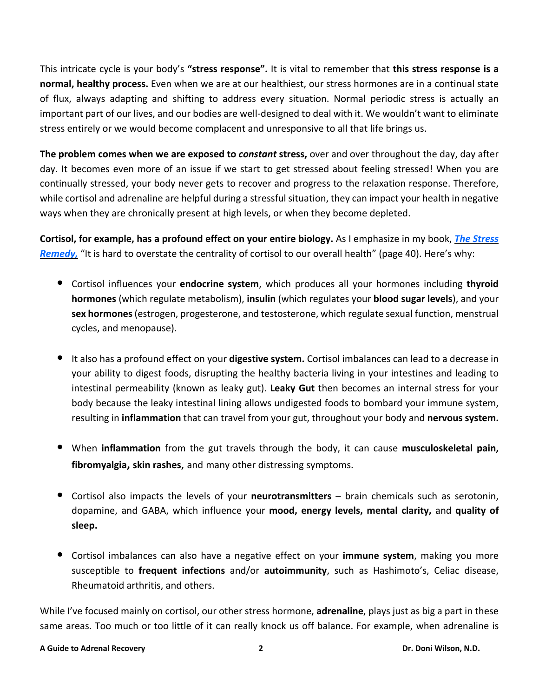This intricate cycle is your body's **"stress response".** It is vital to remember that **this stress response is a normal, healthy process.** Even when we are at our healthiest, our stress hormones are in a continual state of flux, always adapting and shifting to address every situation. Normal periodic stress is actually an important part of our lives, and our bodies are well-designed to deal with it. We wouldn't want to eliminate stress entirely or we would become complacent and unresponsive to all that life brings us.

**The problem comes when we are exposed to** *constant* **stress,** over and over throughout the day, day after day. It becomes even more of an issue if we start to get stressed about feeling stressed! When you are continually stressed, your body never gets to recover and progress to the relaxation response. Therefore, while cortisol and adrenaline are helpful during a stressful situation, they can impact your health in negative ways when they are chronically present at high levels, or when they become depleted.

**Cortisol, for example, has a profound effect on your entire biology.** As I emphasize in my book, *The [Stress](https://doctordoni.com/the-stress-remedy-book/) [Remedy,](https://doctordoni.com/the-stress-remedy-book/)* "It is hard to overstate the centrality of cortisol to our overall health" (page 40). Here's why:

- Cortisol influences your **endocrine system**, which produces all your hormones including **thyroid hormones** (which regulate metabolism), **insulin** (which regulates your **blood sugar levels**), and your **sex hormones**(estrogen, progesterone, and testosterone, which regulate sexual function, menstrual cycles, and menopause).
- It also has <sup>a</sup> profound effect on your **digestive system.** Cortisol imbalances can lead to <sup>a</sup> decrease in your ability to digest foods, disrupting the healthy bacteria living in your intestines and leading to intestinal permeability (known as leaky gut). **Leaky Gut** then becomes an internal stress for your body because the leaky intestinal lining allows undigested foods to bombard your immune system, resulting in **inflammation** that can travel from your gut, throughout your body and **nervous system.**
- When **inflammation** from the gut travels through the body, it can cause **musculoskeletal pain, fibromyalgia, skin rashes**, and many other distressing symptoms.
- Cortisol also impacts the levels of your **neurotransmitters** brain chemicals such as serotonin, dopamine, and GABA, which influence your **mood, energy levels, mental clarity,** and **quality of sleep.**
- Cortisol imbalances can also have <sup>a</sup> negative effect on your **immune system**, making you more susceptible to **frequent infections** and/or **autoimmunity**, such as Hashimoto's, Celiac disease, Rheumatoid arthritis, and others.

While I've focused mainly on cortisol, our other stress hormone, **adrenaline**, plays just as big a part in these same areas. Too much or too little of it can really knock us off balance. For example, when adrenaline is

#### **A Guide to Adrenal Recovery 2 Dr. Doni Wilson, N.D.**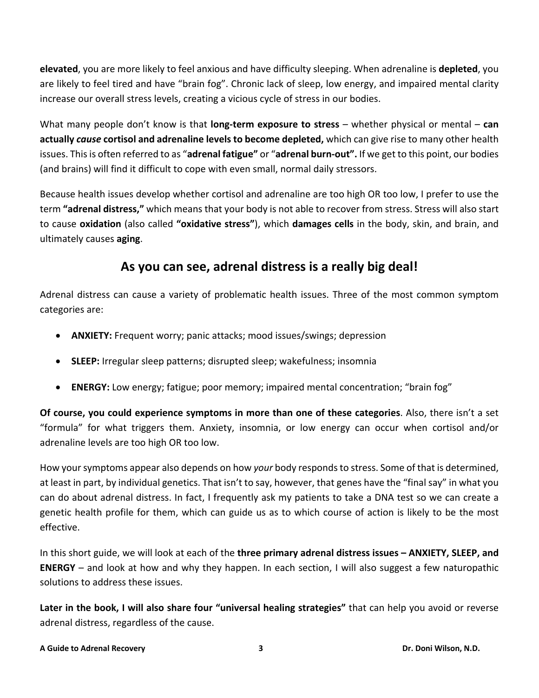**elevated**, you are more likely to feel anxious and have difficulty sleeping. When adrenaline is **depleted**, you are likely to feel tired and have "brain fog". Chronic lack of sleep, low energy, and impaired mental clarity increase our overall stress levels, creating a vicious cycle of stress in our bodies.

What many people don't know is that **long-term exposure to stress** – whether physical or mental – **can actually** *cause* **cortisol and adrenaline levels to become depleted,** which can give rise to many other health issues. Thisis often referred to as "**adrenal fatigue"** or "**adrenal burn-out".** If we get to this point, our bodies (and brains) will find it difficult to cope with even small, normal daily stressors.

Because health issues develop whether cortisol and adrenaline are too high OR too low, I prefer to use the term **"adrenal distress,"** which means that your body is not able to recover from stress. Stress will also start to cause **oxidation** (also called **"oxidative stress"**), which **damages cells** in the body, skin, and brain, and ultimately causes **aging**.

## **As you can see, adrenal distress is a really big deal!**

Adrenal distress can cause a variety of problematic health issues. Three of the most common symptom categories are:

- **ANXIETY:** Frequent worry; panic attacks; mood issues/swings; depression
- **SLEEP:** Irregular sleep patterns; disrupted sleep; wakefulness; insomnia
- **ENERGY:** Low energy; fatigue; poor memory; impaired mental concentration; "brain fog"

**Of course, you could experience symptoms in more than one of these categories**. Also, there isn't a set "formula" for what triggers them. Anxiety, insomnia, or low energy can occur when cortisol and/or adrenaline levels are too high OR too low.

How yoursymptoms appear also depends on how *your* body respondsto stress. Some of that is determined, at least in part, by individual genetics. That isn't to say, however, that genes have the "final say" in what you can do about adrenal distress. In fact, I frequently ask my patients to take a DNA test so we can create a genetic health profile for them, which can guide us as to which course of action is likely to be the most effective.

In this short guide, we will look at each of the **three primary adrenal distress issues – ANXIETY, SLEEP, and ENERGY** – and look at how and why they happen. In each section, I will also suggest a few naturopathic solutions to address these issues.

**Later in the book, I will also share four "universal healing strategies"** that can help you avoid or reverse adrenal distress, regardless of the cause.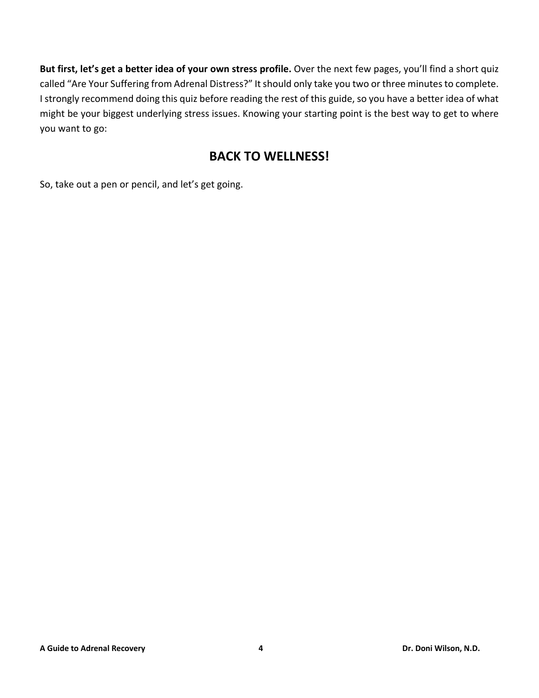**But first, let's get a better idea of your own stress profile.** Over the next few pages, you'll find a short quiz called "Are Your Suffering from Adrenal Distress?" It should only take you two or three minutes to complete. I strongly recommend doing this quiz before reading the rest of this guide, so you have a better idea of what might be your biggest underlying stress issues. Knowing your starting point is the best way to get to where you want to go:

## **BACK TO WELLNESS!**

So, take out a pen or pencil, and let's get going.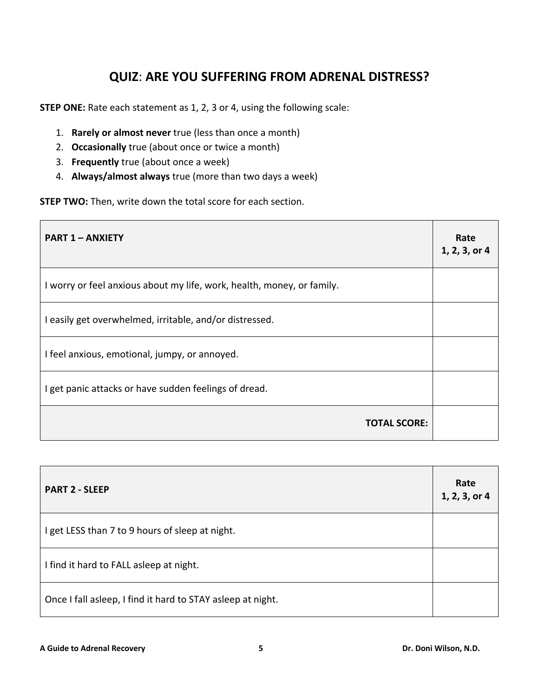## **QUIZ**: **ARE YOU SUFFERING FROM ADRENAL DISTRESS?**

<span id="page-7-0"></span>**STEP ONE:** Rate each statement as 1, 2, 3 or 4, using the following scale:

- 1. **Rarely or almost never** true (less than once a month)
- 2. **Occasionally** true (about once or twice a month)
- 3. **Frequently** true (about once a week)
- 4. **Always/almost always** true (more than two days a week)

**STEP TWO:** Then, write down the total score for each section.

| <b>PART 1 - ANXIETY</b>                                                | Rate<br>1, 2, 3, or 4 |
|------------------------------------------------------------------------|-----------------------|
| I worry or feel anxious about my life, work, health, money, or family. |                       |
| I easily get overwhelmed, irritable, and/or distressed.                |                       |
| I feel anxious, emotional, jumpy, or annoyed.                          |                       |
| I get panic attacks or have sudden feelings of dread.                  |                       |
| <b>TOTAL SCORE:</b>                                                    |                       |

| <b>PART 2 - SLEEP</b>                                       | Rate<br>1, 2, 3, or 4 |
|-------------------------------------------------------------|-----------------------|
| I get LESS than 7 to 9 hours of sleep at night.             |                       |
| I find it hard to FALL asleep at night.                     |                       |
| Once I fall asleep, I find it hard to STAY asleep at night. |                       |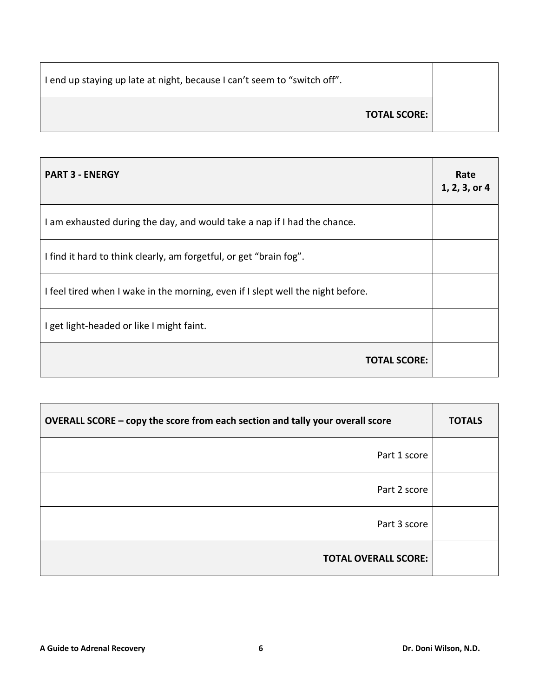| I end up staying up late at night, because I can't seem to "switch off". |  |
|--------------------------------------------------------------------------|--|
| <b>TOTAL SCORE:</b>                                                      |  |

| <b>PART 3 - ENERGY</b>                                                          | Rate<br>1, 2, 3, or 4 |
|---------------------------------------------------------------------------------|-----------------------|
| I am exhausted during the day, and would take a nap if I had the chance.        |                       |
| I find it hard to think clearly, am forgetful, or get "brain fog".              |                       |
| I feel tired when I wake in the morning, even if I slept well the night before. |                       |
| I get light-headed or like I might faint.                                       |                       |
| <b>TOTAL SCORE:</b>                                                             |                       |

| OVERALL SCORE - copy the score from each section and tally your overall score | <b>TOTALS</b> |
|-------------------------------------------------------------------------------|---------------|
| Part 1 score                                                                  |               |
| Part 2 score                                                                  |               |
| Part 3 score                                                                  |               |
| <b>TOTAL OVERALL SCORE:</b>                                                   |               |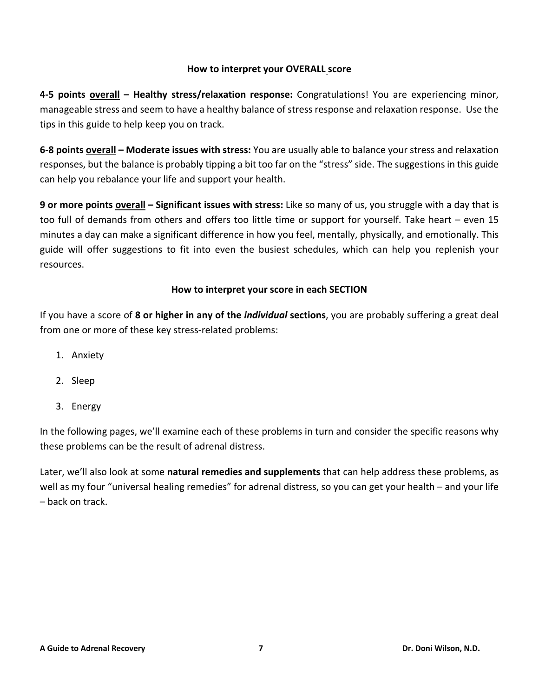#### **How to interpret your OVERALL score**

**4-5 points overall – Healthy stress/relaxation response:** Congratulations! You are experiencing minor, manageable stress and seem to have a healthy balance of stress response and relaxation response. Use the tips in this guide to help keep you on track.

**6-8 points overall – Moderate issues with stress:** You are usually able to balance your stress and relaxation responses, but the balance is probably tipping a bit too far on the "stress" side. The suggestions in this guide can help you rebalance your life and support your health.

**9 or more points overall – Significant issues with stress:** Like so many of us, you struggle with a day that is too full of demands from others and offers too little time or support for yourself. Take heart – even 15 minutes a day can make a significant difference in how you feel, mentally, physically, and emotionally. This guide will offer suggestions to fit into even the busiest schedules, which can help you replenish your resources.

#### **How to interpret your score in each SECTION**

If you have a score of **8 or higher in any of the** *individual* **sections**, you are probably suffering a great deal from one or more of these key stress-related problems:

- 1. Anxiety
- 2. Sleep
- 3. Energy

In the following pages, we'll examine each of these problems in turn and consider the specific reasons why these problems can be the result of adrenal distress.

Later, we'll also look at some **natural remedies and supplements** that can help address these problems, as well as my four "universal healing remedies" for adrenal distress, so you can get your health – and your life – back on track.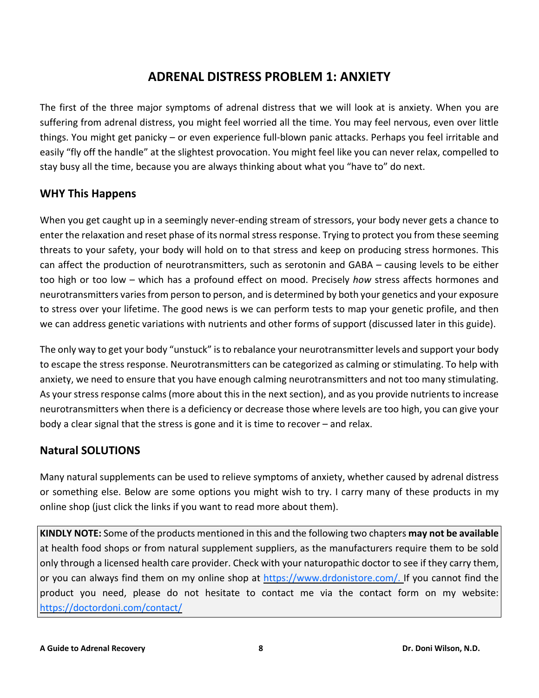## **ADRENAL DISTRESS PROBLEM 1: ANXIETY**

<span id="page-10-0"></span>The first of the three major symptoms of adrenal distress that we will look at is anxiety. When you are suffering from adrenal distress, you might feel worried all the time. You may feel nervous, even over little things. You might get panicky – or even experience full-blown panic attacks. Perhaps you feel irritable and easily "fly off the handle" at the slightest provocation. You might feel like you can never relax, compelled to stay busy all the time, because you are always thinking about what you "have to" do next.

#### <span id="page-10-1"></span>**WHY This Happens**

When you get caught up in a seemingly never-ending stream of stressors, your body never gets a chance to enter the relaxation and reset phase of its normal stress response. Trying to protect you from these seeming threats to your safety, your body will hold on to that stress and keep on producing stress hormones. This can affect the production of neurotransmitters, such as serotonin and GABA – causing levels to be either too high or too low – which has a profound effect on mood. Precisely *how* stress affects hormones and neurotransmitters variesfrom person to person, and is determined by both your genetics and your exposure to stress over your lifetime. The good news is we can perform tests to map your genetic profile, and then we can address genetic variations with nutrients and other forms of support (discussed later in this guide).

The only way to get your body "unstuck" isto rebalance your neurotransmitter levels and support your body to escape the stress response. Neurotransmitters can be categorized as calming or stimulating. To help with anxiety, we need to ensure that you have enough calming neurotransmitters and not too many stimulating. As your stress response calms (more about this in the next section), and as you provide nutrients to increase neurotransmitters when there is a deficiency or decrease those where levels are too high, you can give your body a clear signal that the stress is gone and it is time to recover – and relax.

## <span id="page-10-2"></span>**Natural SOLUTIONS**

Many natural supplements can be used to relieve symptoms of anxiety, whether caused by adrenal distress or something else. Below are some options you might wish to try. I carry many of these products in my online shop (just click the links if you want to read more about them).

**KINDLY NOTE:** Some of the products mentioned in this and the following two chapters **may not be available** at health food shops or from natural supplement suppliers, as the manufacturers require them to be sold only through a licensed health care provider. Check with your naturopathic doctor to see if they carry them, or you can always find them on my online shop at [https://www.drdonistore.com/.](https://www.drdonistore.com/) If you cannot find the product you need, please do not hesitate to contact me via the contact form on my website: <https://doctordoni.com/contact/>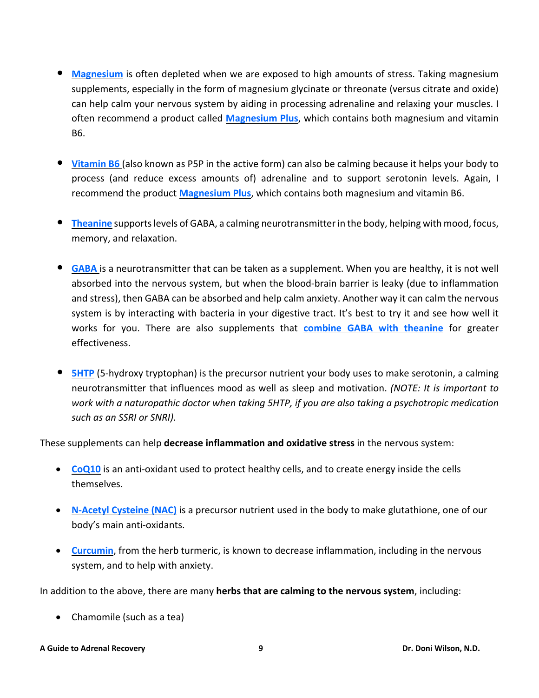- **[Magnesium](https://www.drdonistore.com/Magnesium-Plus-100-vegetarian-capsules_p_35.html)** is often depleted when we are exposed to high amounts of stress. Taking magnesium supplements, especially in the form of magnesium glycinate or threonate (versus citrate and oxide) can help calm your nervous system by aiding in processing adrenaline and relaxing your muscles. I often recommend a product called **[Magnesium](https://www.drdonistore.com/Magnesium-Plus-100-vegetarian-capsules_p_35.html) Plus**, which contains both magnesium and vitamin B6.
- **[Vitamin](https://www.drdonistore.com/Magnesium-Plus-100-vegetarian-capsules_p_35.html) B6** (also known as P5P in the active form) can also be calming because it helps your body to process (and reduce excess amounts of) adrenaline and to support serotonin levels. Again, I recommend the product **[Magnesium](https://www.drdonistore.com/Magnesium-Plus-100-vegetarian-capsules_p_35.html) Plus**, which contains both magnesium and vitamin B6.
- **[Theanine](https://www.drdonistore.com/Theanine-90-capsules_p_491.html)** supportslevels of GABA, <sup>a</sup> calming neurotransmitter in the body, helping with mood, focus, memory, and relaxation.
- **[GABA](https://www.drdonistore.com/GABA-T-SAP-60-capsules_p_808.html)** is <sup>a</sup> neurotransmitter that can be taken as <sup>a</sup> supplement. When you are healthy, it is not well absorbed into the nervous system, but when the blood-brain barrier is leaky (due to inflammation and stress), then GABA can be absorbed and help calm anxiety. Another way it can calm the nervous system is by interacting with bacteria in your digestive tract. It's best to try it and see how well it works for you. There are also supplements that **combine GABA with [theanine](https://www.drdonistore.com/GABA-T-SAP-60-capsules_p_808.html)** for greater effectiveness.
- **[5HTP](https://www.drdonistore.com/search.asp?keyword=5htp&search=)** (5-hydroxy tryptophan) is the precursor nutrient your body uses to make serotonin, <sup>a</sup> calming neurotransmitter that influences mood as well as sleep and motivation. *(NOTE: It is important to work with a naturopathic doctor when taking 5HTP, if you are also taking a psychotropic medication such as an SSRI or SNRI).*

These supplements can help **decrease inflammation and oxidative stress** in the nervous system:

- **[CoQ10](https://www.drdonistore.com/search.asp?keyword=CoQ10&search=)** is an anti-oxidant used to protect healthy cells, and to create energy inside the cells themselves.
- **[N-Acetyl](https://www.drdonistore.com/search.asp?keyword=N-Acetyl+Cysteine&search=) Cysteine (NAC)** is a precursor nutrient used in the body to make glutathione, one of our body's main anti-oxidants.
- **[Curcumin](https://www.drdonistore.com/Super-Bio-Curcumin-400mg-60-vegetarian-capsules_p_734.html)**, from the herb turmeric, is known to decrease inflammation, including in the nervous system, and to help with anxiety.

In addition to the above, there are many **herbs that are calming to the nervous system**, including:

• Chamomile (such as a tea)

#### **A Guide to Adrenal Recovery 9 Dr. Doni Wilson, N.D.**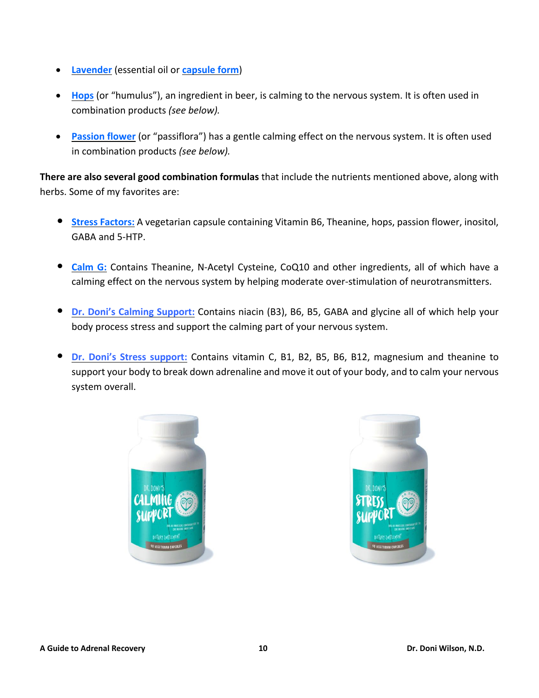- **[Lavender](https://www.drdonistore.com/Lavender-SAP-60-softgels_p_810.html)** (essential oil or **[capsule](https://www.drdonistore.com/Lavender-SAP-60-softgels_p_810.html) form**)
- **[Hops](https://www.drdonistore.com/Stress-Factors-60-vegetarian-capsules_p_224.html)** (or "humulus"), an ingredient in beer, is calming to the nervous system. It is often used in combination products *(see below).*
- **[Passion](https://www.drdonistore.com/Stress-Factors-60-vegetarian-capsules_p_224.html) flower** (or "passiflora") has a gentle calming effect on the nervous system. It is often used in combination products *(see below).*

**There are also several good combination formulas** that include the nutrients mentioned above, along with herbs. Some of my favorites are:

- **Stress [Factors:](https://www.drdonistore.com/Stress-Factors-60-vegetarian-capsules_p_224.html)** <sup>A</sup> vegetarian capsule containing Vitamin B6, Theanine, hops, passion flower, inositol, GABA and 5-HTP.
- **[Calm](https://www.drdonistore.com/Calm-G-90-capsules_p_217.html) G:** Contains Theanine, N-Acetyl Cysteine, CoQ10 and other ingredients, all of which have <sup>a</sup> calming effect on the nervous system by helping moderate over-stimulation of neurotransmitters.
- **Dr. Doni's Calming [Support:](https://www.drdonistore.com/Dr-Donis-CalmingSupport-90-capsules_p_980.html)** Contains niacin (B3), B6, B5, GABA and glycine all of which help your body process stress and support the calming part of your nervous system.
- **Dr. Doni's Stress [support:](https://www.drdonistore.com/Dr-Donis-Stress-Support-90-capsules_p_981.html)** Contains vitamin C, B1, B2, B5, B6, B12, magnesium and theanine to support your body to break down adrenaline and move it out of your body, and to calm your nervous system overall.



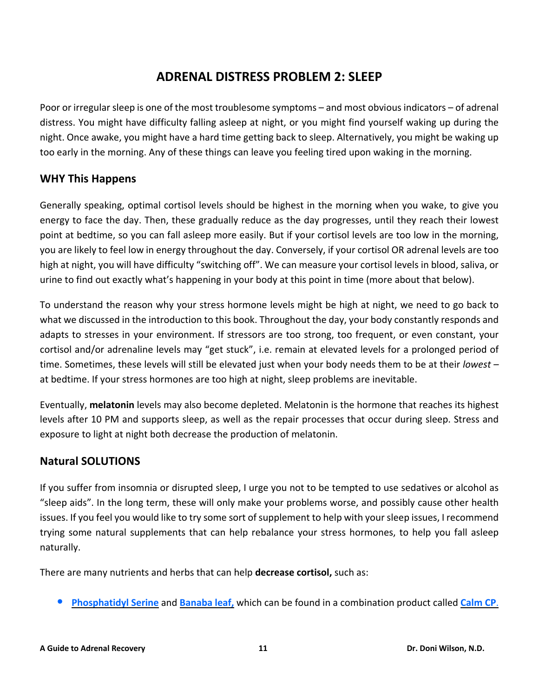## **ADRENAL DISTRESS PROBLEM 2: SLEEP**

<span id="page-13-0"></span>Poor or irregular sleep is one of the most troublesome symptoms – and most obvious indicators – of adrenal distress. You might have difficulty falling asleep at night, or you might find yourself waking up during the night. Once awake, you might have a hard time getting back to sleep. Alternatively, you might be waking up too early in the morning. Any of these things can leave you feeling tired upon waking in the morning.

## <span id="page-13-1"></span>**WHY This Happens**

Generally speaking, optimal cortisol levels should be highest in the morning when you wake, to give you energy to face the day. Then, these gradually reduce as the day progresses, until they reach their lowest point at bedtime, so you can fall asleep more easily. But if your cortisol levels are too low in the morning, you are likely to feel low in energy throughout the day. Conversely, if your cortisol OR adrenal levels are too high at night, you will have difficulty "switching off". We can measure your cortisol levels in blood, saliva, or urine to find out exactly what's happening in your body at this point in time (more about that below).

To understand the reason why your stress hormone levels might be high at night, we need to go back to what we discussed in the introduction to this book. Throughout the day, your body constantly responds and adapts to stresses in your environment. If stressors are too strong, too frequent, or even constant, your cortisol and/or adrenaline levels may "get stuck", i.e. remain at elevated levels for a prolonged period of time. Sometimes, these levels will still be elevated just when your body needs them to be at their *lowest –* at bedtime. If your stress hormones are too high at night, sleep problems are inevitable.

Eventually, **melatonin** levels may also become depleted. Melatonin is the hormone that reaches its highest levels after 10 PM and supports sleep, as well as the repair processes that occur during sleep. Stress and exposure to light at night both decrease the production of melatonin.

## <span id="page-13-2"></span>**Natural SOLUTIONS**

If you suffer from insomnia or disrupted sleep, I urge you not to be tempted to use sedatives or alcohol as "sleep aids". In the long term, these will only make your problems worse, and possibly cause other health issues. If you feel you would like to try some sort of supplement to help with your sleep issues, I recommend trying some natural supplements that can help rebalance your stress hormones, to help you fall asleep naturally.

There are many nutrients and herbs that can help **decrease cortisol,** such as:

• **[Phosphatidyl](https://www.drdonistore.com/Calm-CP-60-capsules_p_215.html) Serine** and **[Banaba](https://www.drdonistore.com/Calm-CP-60-capsules_p_215.html) leaf,** which can be found in <sup>a</sup> combination product called **[Calm](https://www.drdonistore.com/Calm-CP-60-capsules_p_215.html) CP**.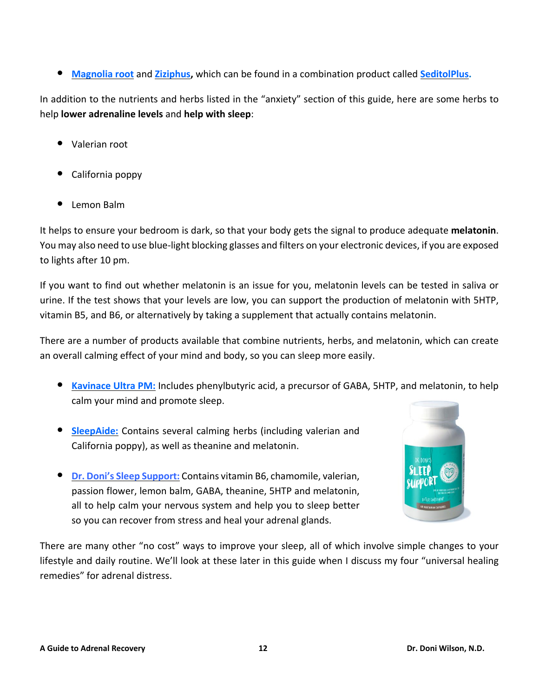• **[Magnolia](https://www.drdonistore.com/Seditol-Plus-30-vegetarian-capsules_p_759.html) root** and **[Ziziphus,](https://www.drdonistore.com/Seditol-Plus-30-vegetarian-capsules_p_759.html)** which can be found in <sup>a</sup> combination product called **[SeditolPlus.](https://www.drdonistore.com/Seditol-Plus-30-vegetarian-capsules_p_759.html)**

In addition to the nutrients and herbs listed in the "anxiety" section of this guide, here are some herbs to help **lower adrenaline levels** and **help with sleep**:

- Valerian root
- California poppy
- Lemon Balm

It helps to ensure your bedroom is dark, so that your body gets the signal to produce adequate **melatonin**. You may also need to use blue-light blocking glasses and filters on your electronic devices, if you are exposed to lights after 10 pm.

If you want to find out whether melatonin is an issue for you, melatonin levels can be tested in saliva or urine. If the test shows that your levels are low, you can support the production of melatonin with 5HTP, vitamin B5, and B6, or alternatively by taking a supplement that actually contains melatonin.

There are a number of products available that combine nutrients, herbs, and melatonin, which can create an overall calming effect of your mind and body, so you can sleep more easily.

- **[Kavinace](https://www.drdonistore.com/Kavinace-Ultra-PM-30-capsules_p_212.html) Ultra PM:** Includes phenylbutyric acid, <sup>a</sup> precursor of GABA, 5HTP, and melatonin, to help calm your mind and promote sleep.
- **[SleepAide:](https://www.drdonistore.com/Sleep-Aide-60-capsules_p_770.html)** Contains several calming herbs (including valerian and California poppy), as well as theanine and melatonin.
- **Dr. Doni's Sleep [Support:](https://www.drdonistore.com/Dr-Donis-Sleep-Support-60-capsules_p_979.html)** Contains vitamin B6, chamomile, valerian, passion flower, lemon balm, GABA, theanine, 5HTP and melatonin, all to help calm your nervous system and help you to sleep better so you can recover from stress and heal your adrenal glands.



There are many other "no cost" ways to improve your sleep, all of which involve simple changes to your lifestyle and daily routine. We'll look at these later in this guide when I discuss my four "universal healing remedies" for adrenal distress.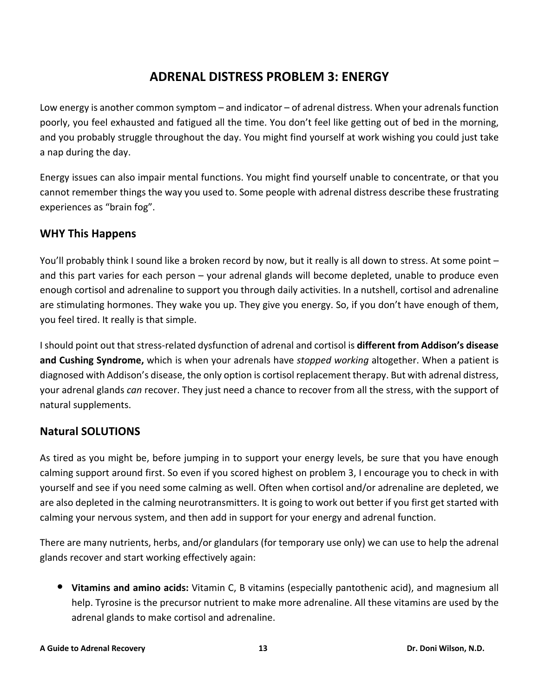## **ADRENAL DISTRESS PROBLEM 3: ENERGY**

<span id="page-15-0"></span>Low energy is another common symptom – and indicator – of adrenal distress. When your adrenals function poorly, you feel exhausted and fatigued all the time. You don't feel like getting out of bed in the morning, and you probably struggle throughout the day. You might find yourself at work wishing you could just take a nap during the day.

Energy issues can also impair mental functions. You might find yourself unable to concentrate, or that you cannot remember things the way you used to. Some people with adrenal distress describe these frustrating experiences as "brain fog".

## <span id="page-15-1"></span>**WHY This Happens**

You'll probably think I sound like a broken record by now, but it really is all down to stress. At some point – and this part varies for each person – your adrenal glands will become depleted, unable to produce even enough cortisol and adrenaline to support you through daily activities. In a nutshell, cortisol and adrenaline are stimulating hormones. They wake you up. They give you energy. So, if you don't have enough of them, you feel tired. It really is that simple.

I should point out that stress-related dysfunction of adrenal and cortisol is **different from Addison's disease and Cushing Syndrome,** which is when your adrenals have *stopped working* altogether. When a patient is diagnosed with Addison's disease, the only option is cortisol replacement therapy. But with adrenal distress, your adrenal glands *can* recover. They just need a chance to recover from all the stress, with the support of natural supplements.

#### <span id="page-15-2"></span>**Natural SOLUTIONS**

As tired as you might be, before jumping in to support your energy levels, be sure that you have enough calming support around first. So even if you scored highest on problem 3, I encourage you to check in with yourself and see if you need some calming as well. Often when cortisol and/or adrenaline are depleted, we are also depleted in the calming neurotransmitters. It is going to work out better if you first get started with calming your nervous system, and then add in support for your energy and adrenal function.

There are many nutrients, herbs, and/or glandulars (for temporary use only) we can use to help the adrenal glands recover and start working effectively again:

• **Vitamins and amino acids:** Vitamin C, <sup>B</sup> vitamins (especially pantothenic acid), and magnesium all help. Tyrosine is the precursor nutrient to make more adrenaline. All these vitamins are used by the adrenal glands to make cortisol and adrenaline.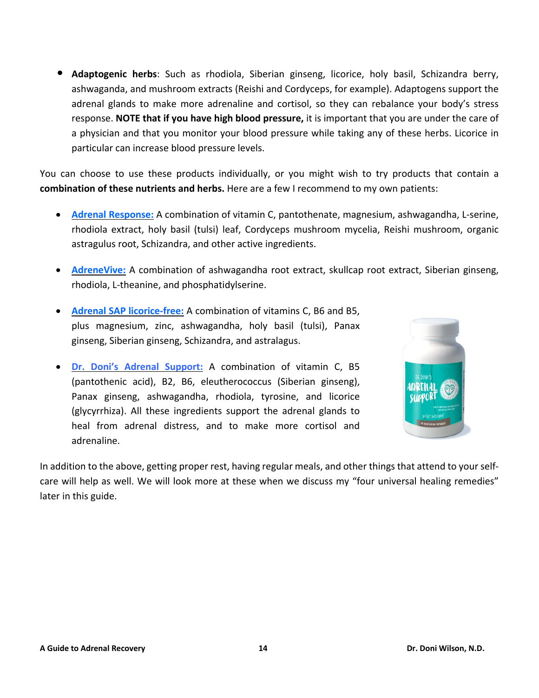• **Adaptogenic herbs**: Such as rhodiola, Siberian ginseng, licorice, holy basil, Schizandra berry, ashwaganda, and mushroom extracts (Reishi and Cordyceps, for example). Adaptogens support the adrenal glands to make more adrenaline and cortisol, so they can rebalance your body's stress response. **NOTE that if you have high blood pressure,** it is important that you are under the care of a physician and that you monitor your blood pressure while taking any of these herbs. Licorice in particular can increase blood pressure levels.

You can choose to use these products individually, or you might wish to try products that contain a **combination of these nutrients and herbs.** Here are a few I recommend to my own patients:

- **Adrenal [Response:](https://www.drdonistore.com/Adrenal-Response-Complete-Care-90-tabs_p_418.html)** A combination of vitamin C, pantothenate, magnesium, ashwagandha, L-serine, rhodiola extract, holy basil (tulsi) leaf, Cordyceps mushroom mycelia, Reishi mushroom, organic astragulus root, Schizandra, and other active ingredients.
- **[AdreneVive:](https://www.drdonistore.com/AdreneVive-60-capsules_p_274.html)** A combination of ashwagandha root extract, skullcap root extract, Siberian ginseng, rhodiola, L-theanine, and phosphatidylserine.
- **Adrenal SAP [licorice-free:](https://www.drdonistore.com/Adrenal-SAP-Licorice-free-90-capsules_p_801.html)** A combination of vitamins C, B6 and B5, plus magnesium, zinc, ashwagandha, holy basil (tulsi), Panax ginseng, Siberian ginseng, Schizandra, and astralagus.
- **Dr. Doni's Adrenal [Support:](https://www.drdonistore.com/Dr-Donis-Adrenal-Support-90-capsules_p_978.html)** A combination of vitamin C, B5 (pantothenic acid), B2, B6, eleutherococcus (Siberian ginseng), Panax ginseng, ashwagandha, rhodiola, tyrosine, and licorice (glycyrrhiza). All these ingredients support the adrenal glands to heal from adrenal distress, and to make more cortisol and adrenaline.



In addition to the above, getting proper rest, having regular meals, and other things that attend to your selfcare will help as well. We will look more at these when we discuss my "four universal healing remedies" later in this guide.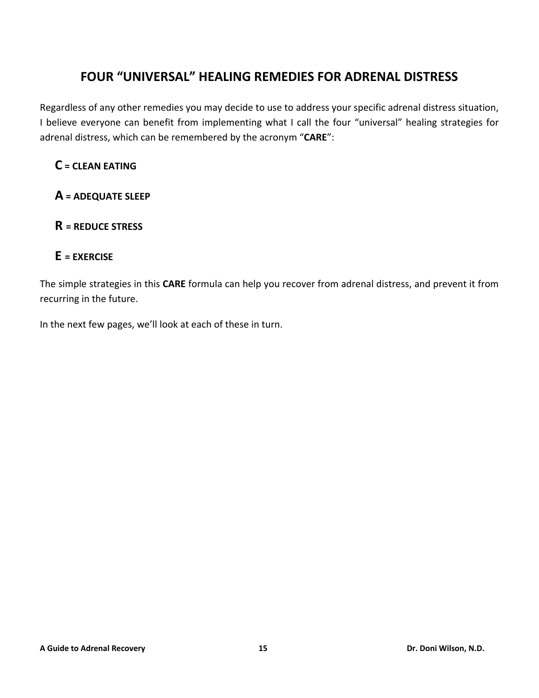## **FOUR "UNIVERSAL" HEALING REMEDIES FOR ADRENAL DISTRESS**

<span id="page-17-0"></span>Regardless of any other remedies you may decide to use to address your specific adrenal distress situation, I believe everyone can benefit from implementing what I call the four "universal" healing strategies for adrenal distress, which can be remembered by the acronym "**CARE**":

## **C = CLEAN EATING**

## **A = ADEQUATE SLEEP**

## **R = REDUCE STRESS**

#### **E = EXERCISE**

The simple strategies in this **CARE** formula can help you recover from adrenal distress, and prevent it from recurring in the future.

In the next few pages, we'll look at each of these in turn.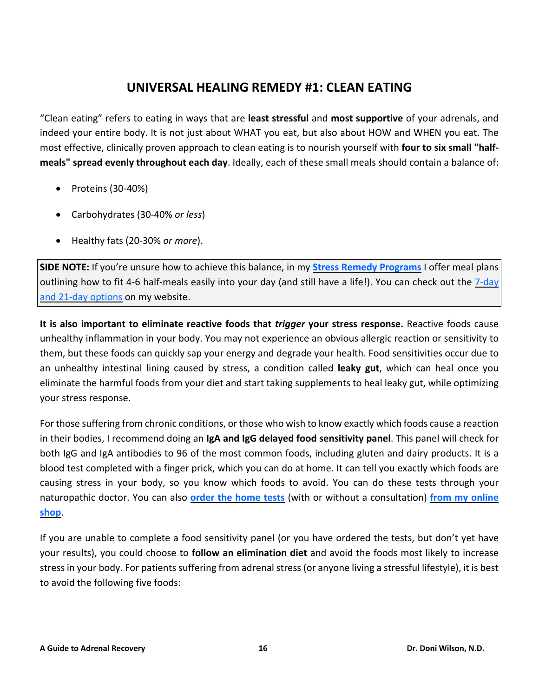## **UNIVERSAL HEALING REMEDY #1: CLEAN EATING**

<span id="page-18-0"></span>"Clean eating" refers to eating in ways that are **least stressful** and **most supportive** of your adrenals, and indeed your entire body. It is not just about WHAT you eat, but also about HOW and WHEN you eat. The most effective, clinically proven approach to clean eating is to nourish yourself with **four to six small "halfmeals" spread evenly throughout each day**. Ideally, each of these small meals should contain a balance of:

- Proteins (30-40%)
- Carbohydrates (30-40% *or less*)
- Healthy fats (20-30% *or more*).

**SIDE NOTE:** If you're unsure how to achieve this balance, in my **Stress Remedy [Programs](https://doctordoni.com/dr-donis-stress-remedy-programs-7-day-and-21-day/)** I offer meal plans outlining how to fit 4-6 half-meals easily into your day (and still have a life!). You can check out the  $\frac{7 \text{ - day}}{2}$ and 21-day [options](https://doctordoni.com/dr-donis-stress-remedy-programs-7-day-and-21-day/) on my website.

**It is also important to eliminate reactive foods that** *trigger* **your stress response.** Reactive foods cause unhealthy inflammation in your body. You may not experience an obvious allergic reaction or sensitivity to them, but these foods can quickly sap your energy and degrade your health. Food sensitivities occur due to an unhealthy intestinal lining caused by stress, a condition called **leaky gut**, which can heal once you eliminate the harmful foods from your diet and start taking supplements to heal leaky gut, while optimizing your stress response.

For those suffering from chronic conditions, or those who wish to know exactly which foods cause a reaction in their bodies, I recommend doing an **IgA and IgG delayed food sensitivity panel**. This panel will check for both IgG and IgA antibodies to 96 of the most common foods, including gluten and dairy products. It is a blood test completed with a finger prick, which you can do at home. It can tell you exactly which foods are causing stress in your body, so you know which foods to avoid. You can do these tests through your naturopathic doctor. You can also **order the [home](https://www.drdonistore.com/search.asp?keyword=food+sensitivity+test&search=) tests** (with or without a consultation) **from my [online](https://www.drdonistore.com/search.asp?keyword=food+sensitivity+test&search=) [shop](https://www.drdonistore.com/search.asp?keyword=food+sensitivity+test&search=)**.

If you are unable to complete a food sensitivity panel (or you have ordered the tests, but don't yet have your results), you could choose to **follow an elimination diet** and avoid the foods most likely to increase stress in your body. For patients suffering from adrenal stress (or anyone living a stressful lifestyle), it is best to avoid the following five foods: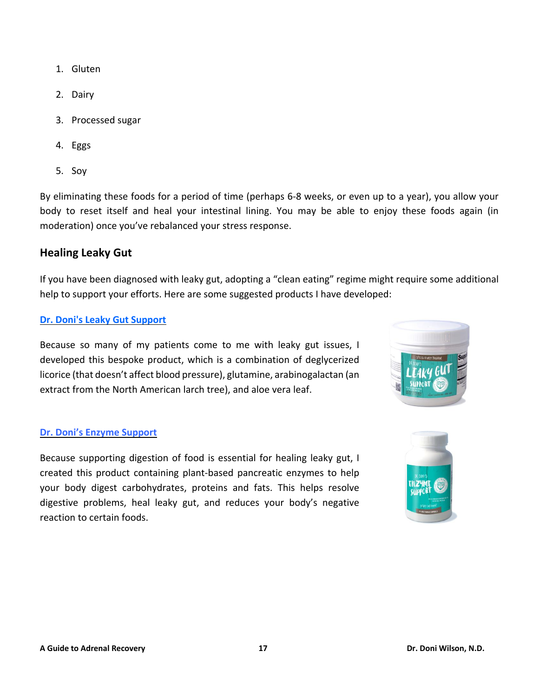- 1. Gluten
- 2. Dairy
- 3. Processed sugar
- 4. Eggs
- 5. Soy

By eliminating these foods for a period of time (perhaps 6-8 weeks, or even up to a year), you allow your body to reset itself and heal your intestinal lining. You may be able to enjoy these foods again (in moderation) once you've rebalanced your stress response.

#### <span id="page-19-0"></span>**Healing Leaky Gut**

If you have been diagnosed with leaky gut, adopting a "clean eating" regime might require some additional help to support your efforts. Here are some suggested products I have developed:

#### **Dr. Doni's Leaky Gut [Support](https://www.drdonistore.com/Dr-Donis-Leaky-Gut-Support-56-oz_p_681.html)**

Because so many of my patients come to me with leaky gut issues, I developed this bespoke product, which is a combination of deglycerized licorice (that doesn't affect blood pressure), glutamine, arabinogalactan (an extract from the North American larch tree), and aloe vera leaf.



#### **Dr. Doni's Enzyme [Support](https://www.drdonistore.com/-Dr-Donis-Enzyme-Support-90-capsules_p_977.html)**

Because supporting digestion of food is essential for healing leaky gut, I created this product containing plant-based pancreatic enzymes to help your body digest carbohydrates, proteins and fats. This helps resolve digestive problems, heal leaky gut, and reduces your body's negative reaction to certain foods.

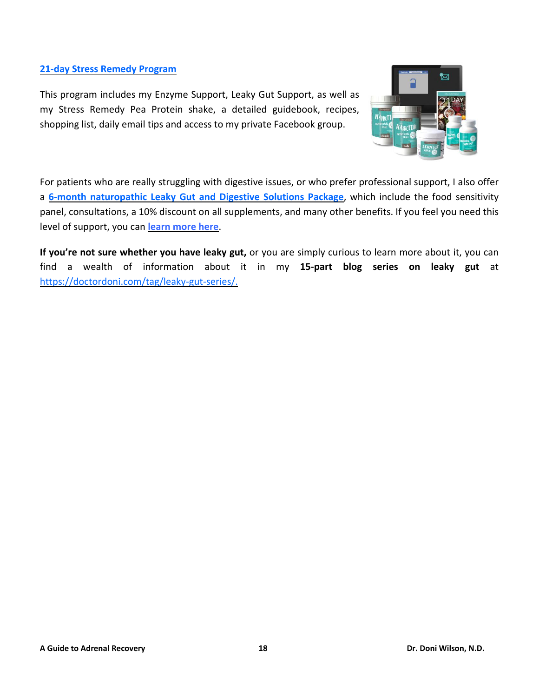#### **21-day Stress Remedy [Program](https://www.drdonistore.com/The-Stress-Remedy-21-Day-Program_p_225.html)**

This program includes my Enzyme Support, Leaky Gut Support, as well as my Stress Remedy Pea Protein shake, a detailed guidebook, recipes, shopping list, daily email tips and access to my private Facebook group.



For patients who are really struggling with digestive issues, or who prefer professional support, I also offer a **6-month [naturopathic](https://doctordoni.com/pdfs/Dr-Doni-Wilson_Leaky-Gut-and-Digestive-Solutions-Package.pdf) Leaky Gut and Digestive Solutions Package**, which include the food sensitivity panel, consultations, a 10% discount on all supplements, and many other benefits. If you feel you need this level of support, you can **learn [more](https://doctordoni.com/pdfs/Dr-Doni-Wilson_Leaky-Gut-and-Digestive-Solutions-Package.pdf) here**.

**If you're not sure whether you have leaky gut,** or you are simply curious to learn more about it, you can find a wealth of information about it in my **15-part blog series on leaky gut** at [https://doctordoni.com/tag/leaky-gut-series/.](https://doctordoni.com/tag/leaky-gut-series/)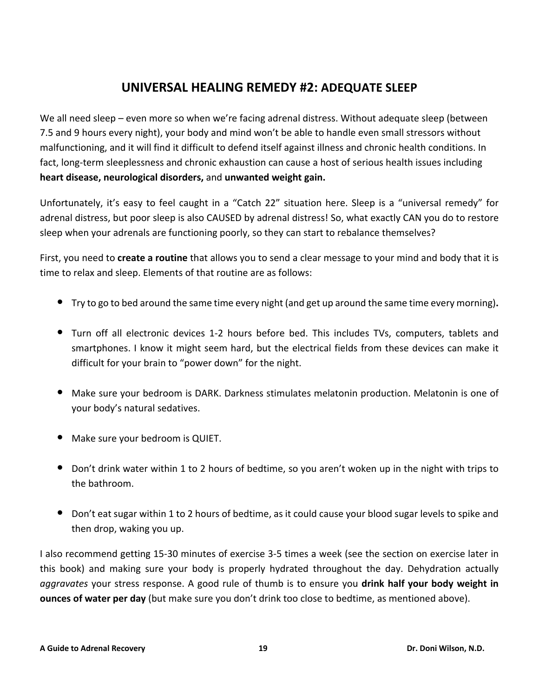## **UNIVERSAL HEALING REMEDY #2: ADEQUATE SLEEP**

<span id="page-21-0"></span>We all need sleep – even more so when we're facing adrenal distress. Without adequate sleep (between 7.5 and 9 hours every night), your body and mind won't be able to handle even small stressors without malfunctioning, and it will find it difficult to defend itself against illness and chronic health conditions. In fact, long-term sleeplessness and chronic exhaustion can cause a host of serious health issues including **heart disease, neurological disorders,** and **unwanted weight gain.**

Unfortunately, it's easy to feel caught in a "Catch 22" situation here. Sleep is a "universal remedy" for adrenal distress, but poor sleep is also CAUSED by adrenal distress! So, what exactly CAN you do to restore sleep when your adrenals are functioning poorly, so they can start to rebalance themselves?

First, you need to **create a routine** that allows you to send a clear message to your mind and body that it is time to relax and sleep. Elements of that routine are as follows:

- Try to go to bed around the same time every night (and get up around the same time every morning)**.**
- Turn off all electronic devices 1-2 hours before bed. This includes TVs, computers, tablets and smartphones. I know it might seem hard, but the electrical fields from these devices can make it difficult for your brain to "power down" for the night.
- Make sure your bedroom is DARK. Darkness stimulates melatonin production. Melatonin is one of your body's natural sedatives.
- Make sure your bedroom is QUIET.
- Don't drink water within <sup>1</sup> to <sup>2</sup> hours of bedtime, so you aren't woken up in the night with trips to the bathroom.
- Don't eat sugar within <sup>1</sup> to <sup>2</sup> hours of bedtime, as it could cause your blood sugar levels to spike and then drop, waking you up.

I also recommend getting 15-30 minutes of exercise 3-5 times a week (see the section on exercise later in this book) and making sure your body is properly hydrated throughout the day. Dehydration actually *aggravates* your stress response. A good rule of thumb is to ensure you **drink half your body weight in ounces of water per day** (but make sure you don't drink too close to bedtime, as mentioned above).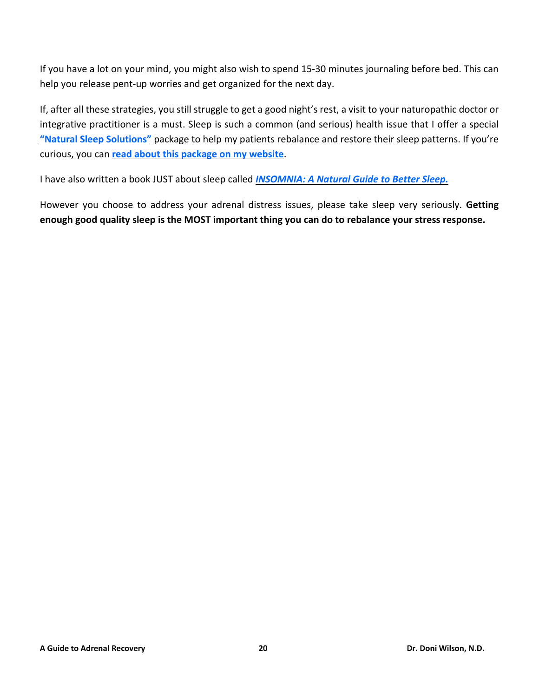If you have a lot on your mind, you might also wish to spend 15-30 minutes journaling before bed. This can help you release pent-up worries and get organized for the next day.

If, after all these strategies, you still struggle to get a good night's rest, a visit to your naturopathic doctor or integrative practitioner is a must. Sleep is such a common (and serious) health issue that I offer a special **"Natural Sleep [Solutions"](https://doctordoni.com/pdfs/Dr-Doni-Wilson_Natural-Sleep-Solutions-Package.pdf)** package to help my patients rebalance and restore their sleep patterns. If you're curious, you can **read about this [package](https://doctordoni.com/pdfs/Dr-Doni-Wilson_Natural-Sleep-Solutions-Package.pdf) on my website**.

I have also written a book JUST about sleep called *[INSOMNIA:](https://doctordoni.com/books/insomnia-a-natural-guide-to-better-sleep/) A Natural Guide to Better Sleep.*

However you choose to address your adrenal distress issues, please take sleep very seriously. **Getting enough good quality sleep is the MOST important thing you can do to rebalance your stress response.**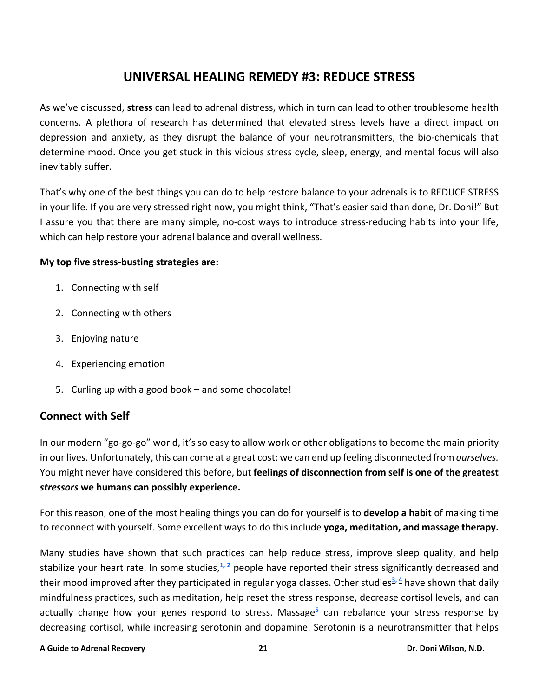## **UNIVERSAL HEALING REMEDY #3: REDUCE STRESS**

<span id="page-23-0"></span>As we've discussed, **stress** can lead to adrenal distress, which in turn can lead to other troublesome health concerns. A plethora of research has determined that elevated stress levels have a direct impact on depression and anxiety, as they disrupt the balance of your neurotransmitters, the bio-chemicals that determine mood. Once you get stuck in this vicious stress cycle, sleep, energy, and mental focus will also inevitably suffer.

That's why one of the best things you can do to help restore balance to your adrenals is to REDUCE STRESS in your life. If you are very stressed right now, you might think, "That's easier said than done, Dr. Doni!" But I assure you that there are many simple, no-cost ways to introduce stress-reducing habits into your life, which can help restore your adrenal balance and overall wellness.

#### **My top five stress-busting strategies are:**

- 1. Connecting with self
- 2. Connecting with others
- 3. Enjoying nature
- 4. Experiencing emotion
- 5. Curling up with a good book and some chocolate!

#### <span id="page-23-1"></span>**Connect with Self**

In our modern "go-go-go" world, it's so easy to allow work or other obligations to become the main priority in our lives. Unfortunately, this can come at a great cost: we can end up feeling disconnected from *ourselves.* You might never have considered this before, but **feelings of disconnection from self is one of the greatest** *stressors* **we humans can possibly experience.**

For this reason, one of the most healing things you can do for yourself is to **develop a habit** of making time to reconnect with yourself. Some excellent ways to do this include **yoga, meditation, and massage therapy.**

<span id="page-23-3"></span><span id="page-23-2"></span>Many studies have shown that such practices can help reduce stress, improve sleep quality, and help stabilize your heart rate. In some studies,**[1,](#page-33-1) [2](#page-33-2)** people have reported their stress significantly decreased and their mood improved after they participated in regular yoga classes. Other studies**[3,](#page-33-3) [4](#page-33-4)** have shown that daily mindfulness practices, such as meditation, help reset the stress response, decrease cortisol levels, and can actually change how your genes respond to stress. Massage**[5](#page-33-5)** can rebalance your stress response by decreasing cortisol, while increasing serotonin and dopamine. Serotonin is a neurotransmitter that helps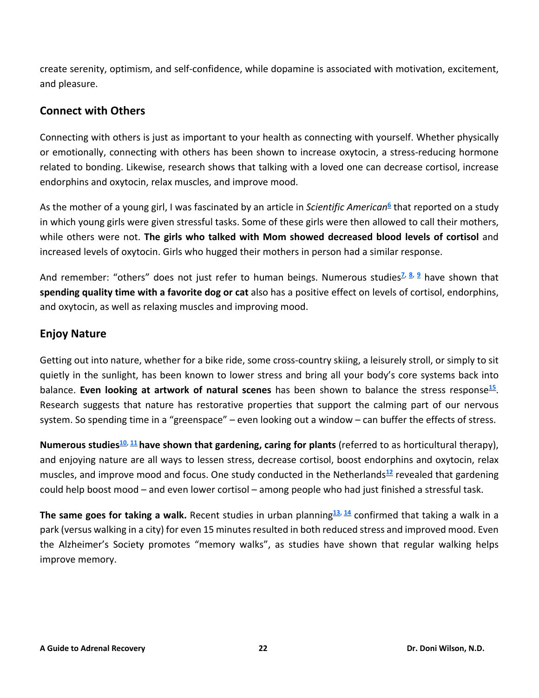create serenity, optimism, and self-confidence, while dopamine is associated with motivation, excitement, and pleasure.

### <span id="page-24-0"></span>**Connect with Others**

Connecting with others is just as important to your health as connecting with yourself. Whether physically or emotionally, connecting with others has been shown to increase oxytocin, a stress-reducing hormone related to bonding. Likewise, research shows that talking with a loved one can decrease cortisol, increase endorphins and oxytocin, relax muscles, and improve mood.

<span id="page-24-2"></span>As the mother of a young girl, I was fascinated by an article in *Scientific American***[6](#page-33-6)** that reported on a study in which young girls were given stressful tasks. Some of these girls were then allowed to call their mothers, while others were not. **The girls who talked with Mom showed decreased blood levels of cortisol** and increased levels of oxytocin. Girls who hugged their mothers in person had a similar response.

<span id="page-24-3"></span>And remember: "others" does not just refer to human beings. Numerous studies**[7,](#page-33-7) [8,](#page-33-8) [9](#page-34-0)** have shown that **spending quality time with a favorite dog or cat** also has a positive effect on levels of cortisol, endorphins, and oxytocin, as well as relaxing muscles and improving mood.

## <span id="page-24-1"></span>**Enjoy Nature**

Getting out into nature, whether for a bike ride, some cross-country skiing, a leisurely stroll, or simply to sit quietly in the sunlight, has been known to lower stress and bring all your body's core systems back into balance. **Even looking at artwork of natural scenes** has been shown to balance the stress response**[15](#page-34-1)** . Research suggests that nature has restorative properties that support the calming part of our nervous system. So spending time in a "greenspace" – even looking out a window – can buffer the effects of stress.

<span id="page-24-4"></span>**Numerous studies[10,](#page-34-2) [11](#page-34-3) have shown that gardening, caring for plants** (referred to as horticultural therapy), and enjoying nature are all ways to lessen stress, decrease cortisol, boost endorphins and oxytocin, relax muscles, and improve mood and focus. One study conducted in the Netherlands**[12](#page-34-4)** revealed that gardening could help boost mood – and even lower cortisol – among people who had just finished a stressful task.

<span id="page-24-6"></span><span id="page-24-5"></span>**The same goes for taking a walk.** Recent studies in urban planning**[13,](#page-34-5) [14](#page-34-6)** confirmed that taking a walk in a park (versus walking in a city) for even 15 minutes resulted in both reduced stress and improved mood. Even the Alzheimer's Society promotes "memory walks", as studies have shown that regular walking helps improve memory.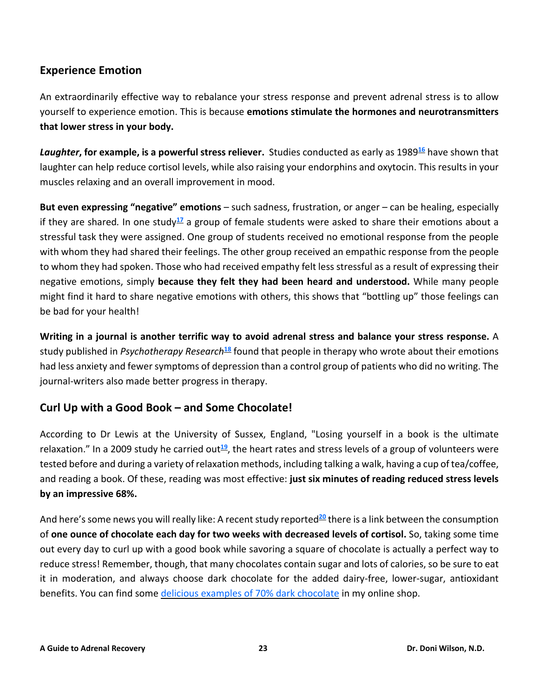#### <span id="page-25-0"></span>**Experience Emotion**

An extraordinarily effective way to rebalance your stress response and prevent adrenal stress is to allow yourself to experience emotion. This is because **emotions stimulate the hormones and neurotransmitters that lower stress in your body.**

<span id="page-25-2"></span>*Laughter***, for example, is a powerful stress reliever.** Studies conducted as early as 1989**[16](#page-34-7)** have shown that laughter can help reduce cortisol levels, while also raising your endorphins and oxytocin. This results in your muscles relaxing and an overall improvement in mood.

<span id="page-25-3"></span>**But even expressing "negative" emotions** – such sadness, frustration, or anger – can be healing, especially if they are shared*.* In one study**[17](#page-35-0)** a group of female students were asked to share their emotions about a stressful task they were assigned. One group of students received no emotional response from the people with whom they had shared their feelings. The other group received an empathic response from the people to whom they had spoken. Those who had received empathy felt less stressful as a result of expressing their negative emotions, simply **because they felt they had been heard and understood.** While many people might find it hard to share negative emotions with others, this shows that "bottling up" those feelings can be bad for your health!

<span id="page-25-4"></span>**Writing in a journal is another terrific way to avoid adrenal stress and balance your stress response.** A study published in *Psychotherapy Research***[18](#page-35-1)** found that people in therapy who wrote about their emotions had less anxiety and fewer symptoms of depression than a control group of patients who did no writing. The journal-writers also made better progress in therapy.

#### <span id="page-25-1"></span>**Curl Up with a Good Book – and Some Chocolate!**

<span id="page-25-5"></span>According to Dr Lewis at the University of Sussex, England, "Losing yourself in a book is the ultimate relaxation." In a 2009 study he carried out<sup>[19](#page-35-2)</sup>, the heart rates and stress levels of a group of volunteers were tested before and during a variety ofrelaxation methods, including talking a walk, having a cup of tea/coffee, and reading a book. Of these, reading was most effective: **just six minutes of reading reduced stress levels by an impressive 68%.**

<span id="page-25-6"></span>And here's some news you will really like: A recent study reported<sup>[20](#page-35-3)</sup> there is a link between the consumption of **one ounce of chocolate each day for two weeks with decreased levels of cortisol.** So, taking some time out every day to curl up with a good book while savoring a square of chocolate is actually a perfect way to reduce stress! Remember, though, that many chocolates contain sugar and lots of calories, so be sure to eat it in moderation, and always choose dark chocolate for the added dairy-free, lower-sugar, antioxidant benefits. You can find some delicious examples of 70% dark [chocolate](https://www.drdonistore.com/Chocolate_c_89.html) in my online shop.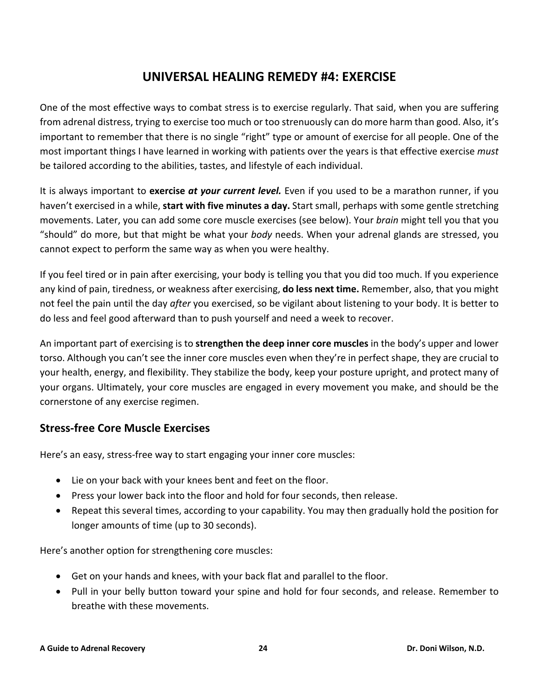## **UNIVERSAL HEALING REMEDY #4: EXERCISE**

<span id="page-26-0"></span>One of the most effective ways to combat stress is to exercise regularly. That said, when you are suffering from adrenal distress, trying to exercise too much or too strenuously can do more harm than good. Also, it's important to remember that there is no single "right" type or amount of exercise for all people. One of the most important things I have learned in working with patients over the years is that effective exercise *must* be tailored according to the abilities, tastes, and lifestyle of each individual.

It is always important to **exercise** *at your current level.* Even if you used to be a marathon runner, if you haven't exercised in a while, **start with five minutes a day.** Start small, perhaps with some gentle stretching movements. Later, you can add some core muscle exercises (see below). Your *brain* might tell you that you "should" do more, but that might be what your *body* needs. When your adrenal glands are stressed, you cannot expect to perform the same way as when you were healthy.

If you feel tired or in pain after exercising, your body is telling you that you did too much. If you experience any kind of pain, tiredness, or weakness after exercising, **do less next time.** Remember, also, that you might not feel the pain until the day *after* you exercised, so be vigilant about listening to your body. It is better to do less and feel good afterward than to push yourself and need a week to recover.

An important part of exercising is to **strengthen the deep inner core muscles** in the body's upper and lower torso. Although you can't see the inner core muscles even when they're in perfect shape, they are crucial to your health, energy, and flexibility. They stabilize the body, keep your posture upright, and protect many of your organs. Ultimately, your core muscles are engaged in every movement you make, and should be the cornerstone of any exercise regimen.

## <span id="page-26-1"></span>**Stress-free Core Muscle Exercises**

Here's an easy, stress-free way to start engaging your inner core muscles:

- Lie on your back with your knees bent and feet on the floor.
- Press your lower back into the floor and hold for four seconds, then release.
- Repeat this several times, according to your capability. You may then gradually hold the position for longer amounts of time (up to 30 seconds).

Here's another option for strengthening core muscles:

- Get on your hands and knees, with your back flat and parallel to the floor.
- Pull in your belly button toward your spine and hold for four seconds, and release. Remember to breathe with these movements.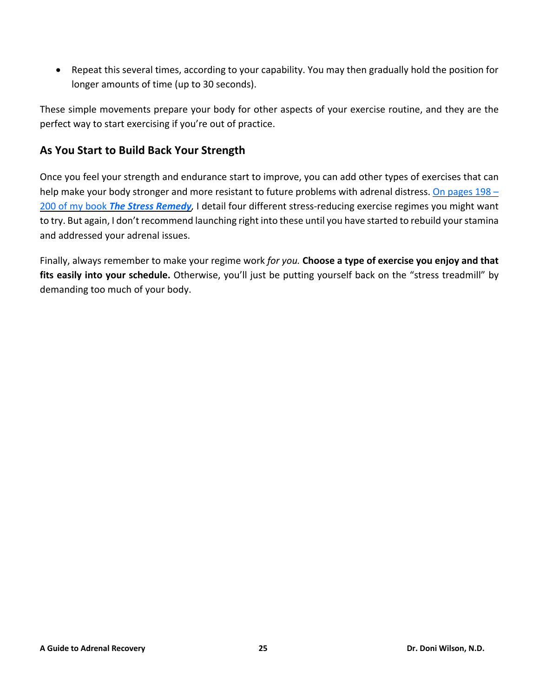• Repeat this several times, according to your capability. You may then gradually hold the position for longer amounts of time (up to 30 seconds).

These simple movements prepare your body for other aspects of your exercise routine, and they are the perfect way to start exercising if you're out of practice.

#### <span id="page-27-0"></span>**As You Start to Build Back Your Strength**

Once you feel your strength and endurance start to improve, you can add other types of exercises that can help make your body stronger and more resistant to future problems with adrenal distress. On [pages](https://doctordoni.com/the-stress-remedy-book/) 198 -200 of my book *The Stress [Remedy](https://doctordoni.com/the-stress-remedy-book/),* I detail four different stress-reducing exercise regimes you might want to try. But again, I don't recommend launching right into these until you have started to rebuild your stamina and addressed your adrenal issues.

Finally, always remember to make your regime work *for you.* **Choose a type of exercise you enjoy and that fits easily into your schedule.** Otherwise, you'll just be putting yourself back on the "stress treadmill" by demanding too much of your body.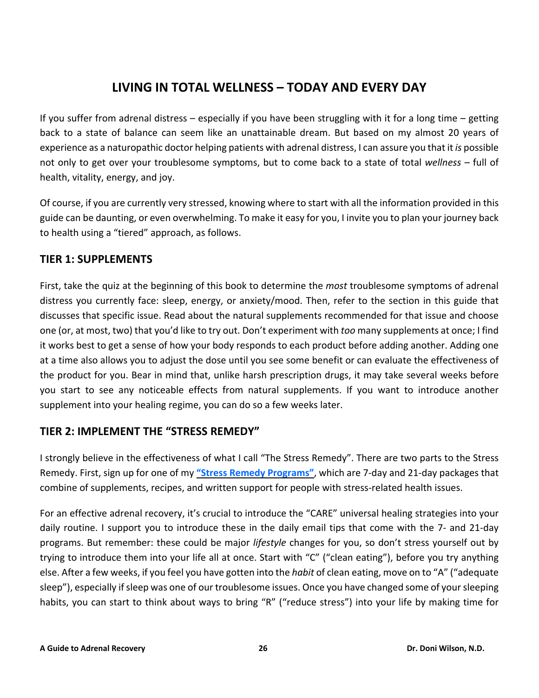## **LIVING IN TOTAL WELLNESS – TODAY AND EVERY DAY**

<span id="page-28-0"></span>If you suffer from adrenal distress – especially if you have been struggling with it for a long time – getting back to a state of balance can seem like an unattainable dream. But based on my almost 20 years of experience as a naturopathic doctor helping patients with adrenal distress, I can assure you that it *is* possible not only to get over your troublesome symptoms, but to come back to a state of total *wellness –* full of health, vitality, energy, and joy.

Of course, if you are currently very stressed, knowing where to start with all the information provided in this guide can be daunting, or even overwhelming. To make it easy for you, I invite you to plan your journey back to health using a "tiered" approach, as follows.

## <span id="page-28-1"></span>**TIER 1: SUPPLEMENTS**

First, take the quiz at the beginning of this book to determine the *most* troublesome symptoms of adrenal distress you currently face: sleep, energy, or anxiety/mood. Then, refer to the section in this guide that discusses that specific issue. Read about the natural supplements recommended for that issue and choose one (or, at most, two) that you'd like to try out. Don't experiment with *too* many supplements at once; I find it works best to get a sense of how your body responds to each product before adding another. Adding one at a time also allows you to adjust the dose until you see some benefit or can evaluate the effectiveness of the product for you. Bear in mind that, unlike harsh prescription drugs, it may take several weeks before you start to see any noticeable effects from natural supplements. If you want to introduce another supplement into your healing regime, you can do so a few weeks later.

#### <span id="page-28-2"></span>**TIER 2: IMPLEMENT THE "STRESS REMEDY"**

I strongly believe in the effectiveness of what I call "The Stress Remedy". There are two parts to the Stress Remedy. First, sign up for one of my **"Stress Remedy [Programs"](https://doctordoni.com/dr-donis-stress-remedy-programs-7-day-and-21-day/)**, which are 7-day and 21-day packages that combine of supplements, recipes, and written support for people with stress-related health issues.

For an effective adrenal recovery, it's crucial to introduce the "CARE" universal healing strategies into your daily routine. I support you to introduce these in the daily email tips that come with the 7- and 21-day programs. But remember: these could be major *lifestyle* changes for you, so don't stress yourself out by trying to introduce them into your life all at once. Start with "C" ("clean eating"), before you try anything else. After a few weeks, if you feel you have gotten into the *habit* of clean eating, move on to "A" ("adequate sleep"), especially if sleep was one of our troublesome issues. Once you have changed some of your sleeping habits, you can start to think about ways to bring "R" ("reduce stress") into your life by making time for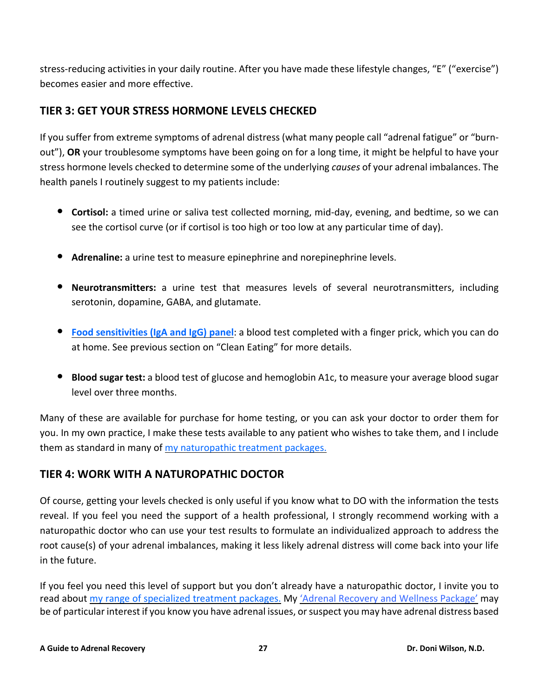stress-reducing activities in your daily routine. After you have made these lifestyle changes, "E" ("exercise") becomes easier and more effective.

## <span id="page-29-0"></span>**TIER 3: GET YOUR STRESS HORMONE LEVELS CHECKED**

If you suffer from extreme symptoms of adrenal distress (what many people call "adrenal fatigue" or "burnout"), **OR** your troublesome symptoms have been going on for a long time, it might be helpful to have your stress hormone levels checked to determine some of the underlying *causes* of your adrenal imbalances. The health panels I routinely suggest to my patients include:

- **Cortisol:** <sup>a</sup> timed urine or saliva test collected morning, mid-day, evening, and bedtime, so we can see the cortisol curve (or if cortisol is too high or too low at any particular time of day).
- **Adrenaline:** <sup>a</sup> urine test to measure epinephrine and norepinephrine levels.
- **Neurotransmitters:** <sup>a</sup> urine test that measures levels of several neurotransmitters, including serotonin, dopamine, GABA, and glutamate.
- **Food [sensitivities](https://www.drdonistore.com/search.asp?keyword=food+sensitivity+test&search=) (IgA and IgG) panel**: <sup>a</sup> blood test completed with <sup>a</sup> finger prick, which you can do at home. See previous section on "Clean Eating" for more details.
- **Blood sugar test:** <sup>a</sup> blood test of glucose and hemoglobin A1c, to measure your average blood sugar level over three months.

Many of these are available for purchase for home testing, or you can ask your doctor to order them for you. In my own practice, I make these tests available to any patient who wishes to take them, and I include them as standard in many of my [naturopathic](https://doctordoni.com/services/) treatment packages.

## <span id="page-29-1"></span>**TIER 4: WORK WITH A NATUROPATHIC DOCTOR**

Of course, getting your levels checked is only useful if you know what to DO with the information the tests reveal. If you feel you need the support of a health professional, I strongly recommend working with a naturopathic doctor who can use your test results to formulate an individualized approach to address the root cause(s) of your adrenal imbalances, making it less likely adrenal distress will come back into your life in the future.

If you feel you need this level of support but you don't already have a naturopathic doctor, I invite you to read about my range of [specialized](https://doctordoni.com/services/) treatment packages. My 'Adrenal [Recovery](file:///C:/Users/Lynn/Dropbox/Spirit%20Authors%20-%20Dr%20Doni/eBooks/Adrenal%20guidebook/Dr-Doni-Wilson_Adrenal-Recovery-and-Wellness-Package.pdf) and Wellness Package' may be of particular interest if you know you have adrenal issues, or suspect you may have adrenal distress based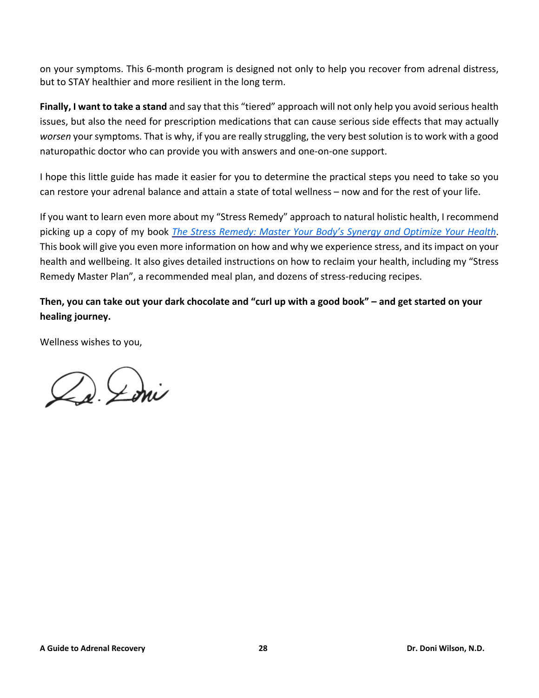on your symptoms. This 6-month program is designed not only to help you recover from adrenal distress, but to STAY healthier and more resilient in the long term.

**Finally, I want to take a stand** and say that this "tiered" approach will not only help you avoid serious health issues, but also the need for prescription medications that can cause serious side effects that may actually *worsen* yoursymptoms. That is why, if you are really struggling, the very best solution isto work with a good naturopathic doctor who can provide you with answers and one-on-one support.

I hope this little guide has made it easier for you to determine the practical steps you need to take so you can restore your adrenal balance and attain a state of total wellness – now and for the rest of your life.

If you want to learn even more about my "Stress Remedy" approach to natural holistic health, I recommend picking up a copy of my book *The Stress Remedy: Master Your Body's Synergy and [Optimize](http://thestressremedy.com/) Your Health*. This book will give you even more information on how and why we experience stress, and itsimpact on your health and wellbeing. It also gives detailed instructions on how to reclaim your health, including my "Stress Remedy Master Plan", a recommended meal plan, and dozens of stress-reducing recipes.

Then, you can take out your dark chocolate and "curl up with a good book" - and get started on your **healing journey.**

Wellness wishes to you,

De Loui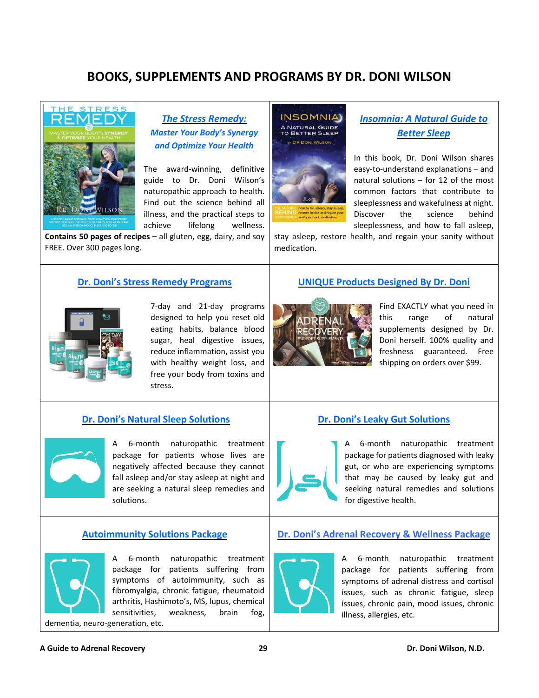## **BOOKS, SUPPLEMENTS AND PROGRAMS BY DR. DONI WILSON**

<span id="page-31-0"></span>

*The Stress [Remedy:](https://doctordoni.com/the-stress-remedy-book/) Master Your Body's [Synergy](https://doctordoni.com/the-stress-remedy-book/) and [Optimize](https://doctordoni.com/the-stress-remedy-book/) Your Health*

The award-winning, definitive guide to Dr. Doni Wilson's naturopathic approach to health. Find out the science behind all illness, and the practical steps to achieve lifelong wellness.

**Contains 50 pages of recipes** – all gluten, egg, dairy, and soy FREE. Over 300 pages long.

#### **Dr. Doni's Stress Remedy [Programs](https://doctordoni.com/dr-donis-stress-remedy-programs-7-day-and-21-day/)**



7-day and 21-day programs designed to help you reset old eating habits, balance blood sugar, heal digestive issues, reduce inflammation, assist you with healthy weight loss, and free your body from toxins and stress.

#### **Dr. Doni's Natural Sleep [Solutions](https://doctordoni.com/pdfs/Dr-Doni-Wilson_Natural-Sleep-Solutions-Package.pdf)**



A 6-month naturopathic treatment package for patients whose lives are negatively affected because they cannot fall asleep and/or stay asleep at night and are seeking a natural sleep remedies and solutions.

#### **[Autoimmunity](https://doctordoni.com/pdfs/Dr-Doni-Wilson_Oxidative-Stress-Prevention-and-Treatment-Package.pdf) Solutions Package**



A 6-month naturopathic treatment package for patients suffering from symptoms of autoimmunity, such as fibromyalgia, chronic fatigue, rheumatoid arthritis, Hashimoto's, MS, lupus, chemical sensitivities, weakness, brain fog,

dementia, neuro-generation, etc.

# **UNIQUE Products [Designed](https://www.drdonistore.com/dr-Doni-products_c_50.html) By Dr. Doni**

stay asleep, restore health, and regain your sanity without



medication.

**INSOMNIA** 

**A NATURAL GUIDE<br>TO BETTER SLEEP** DR DONI WILSON

> Find EXACTLY what you need in this range of natural supplements designed by Dr. Doni herself. 100% quality and freshness guaranteed. Free shipping on orders over \$99.

*[Insomnia:](https://doctordoni.com/insomnia-a-natural-guide-to-better-sleep/) A Natural Guide to [Better](https://doctordoni.com/insomnia-a-natural-guide-to-better-sleep/) Sleep*

In this book, Dr. Doni Wilson shares easy-to-understand explanations – and natural solutions – for 12 of the most common factors that contribute to sleeplessness and wakefulness at night. Discover the science behind sleeplessness, and how to fall asleep,

#### **Dr. Doni's Leaky Gut [Solutions](https://doctordoni.com/pdfs/Dr-Doni-Wilson_Leaky-Gut-and-Digestive-Solutions-Package.pdf)**



A 6-month naturopathic treatment package for patients diagnosed with leaky gut, or who are experiencing symptoms that may be caused by leaky gut and seeking natural remedies and solutions for digestive health.

#### **Dr. Doni's Adrenal [Recovery](https://doctordoni.com/pdfs/Dr-Doni-Wilson_Adrenal-Recovery-and-Wellness-Package.pdf) & Wellness Package**



A 6-month naturopathic treatment package for patients suffering from symptoms of adrenal distress and cortisol issues, such as chronic fatigue, sleep issues, chronic pain, mood issues, chronic illness, allergies, etc.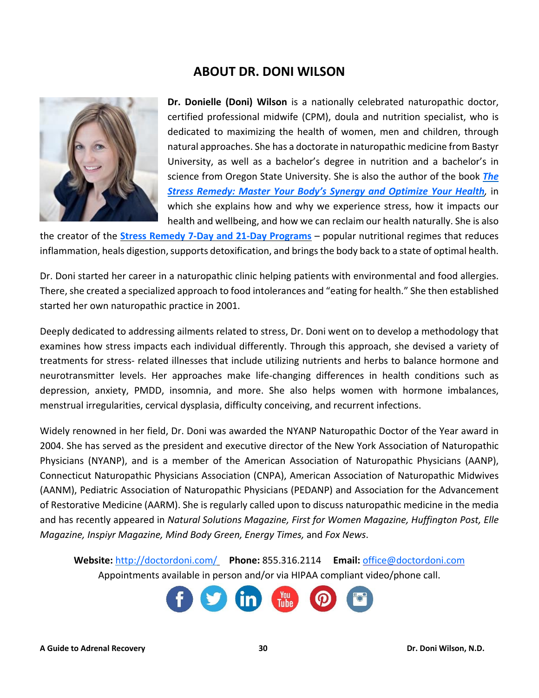## **ABOUT DR. DONI WILSON**

<span id="page-32-0"></span>

**Dr. Donielle (Doni) Wilson** is a nationally celebrated naturopathic doctor, certified professional midwife (CPM), doula and nutrition specialist, who is dedicated to maximizing the health of women, men and children, through natural approaches. She has a doctorate in naturopathic medicine from Bastyr University, as well as a bachelor's degree in nutrition and a bachelor's in science from Oregon State University. She is also the author of the book *[The](http://thestressremedy.com/) Stress Remedy: Master Your Body's Synergy and [Optimize](http://thestressremedy.com/) Your Health,* in which she explains how and why we experience stress, how it impacts our health and wellbeing, and how we can reclaim our health naturally. She is also

the creator of the **Stress Remedy 7-Day and 21-Day [Programs](https://doctordoni.com/dr-donis-stress-remedy-programs-7-day-and-21-day/)** – popular nutritional regimes that reduces inflammation, heals digestion, supports detoxification, and brings the body back to a state of optimal health.

Dr. Doni started her career in a naturopathic clinic helping patients with environmental and food allergies. There, she created a specialized approach to food intolerances and "eating for health." She then established started her own naturopathic practice in 2001.

Deeply dedicated to addressing ailments related to stress, Dr. Doni went on to develop a methodology that examines how stress impacts each individual differently. Through this approach, she devised a variety of treatments for stress- related illnesses that include utilizing nutrients and herbs to balance hormone and neurotransmitter levels. Her approaches make life-changing differences in health conditions such as depression, anxiety, PMDD, insomnia, and more. She also helps women with hormone imbalances, menstrual irregularities, cervical dysplasia, difficulty conceiving, and recurrent infections.

Widely renowned in her field, Dr. Doni was awarded the NYANP Naturopathic Doctor of the Year award in 2004. She has served as the president and executive director of the New York Association of Naturopathic Physicians (NYANP), and is a member of the American Association of Naturopathic Physicians (AANP), Connecticut Naturopathic Physicians Association (CNPA), American Association of Naturopathic Midwives (AANM), Pediatric Association of Naturopathic Physicians (PEDANP) and Association for the Advancement of Restorative Medicine (AARM). She is regularly called upon to discuss naturopathic medicine in the media and has recently appeared in *Natural Solutions Magazine, First for Women Magazine, Huffington Post, Elle Magazine, Inspiyr Magazine, Mind Body Green, Energy Times,* and *Fox News*.

**Website:** <http://doctordoni.com/> **Phone:** 855.316.2114 **Email:** [office@doctordoni.com](mailto:office@doctordoni.com) Appointments available in person and/or via HIPAA compliant video/phone call.

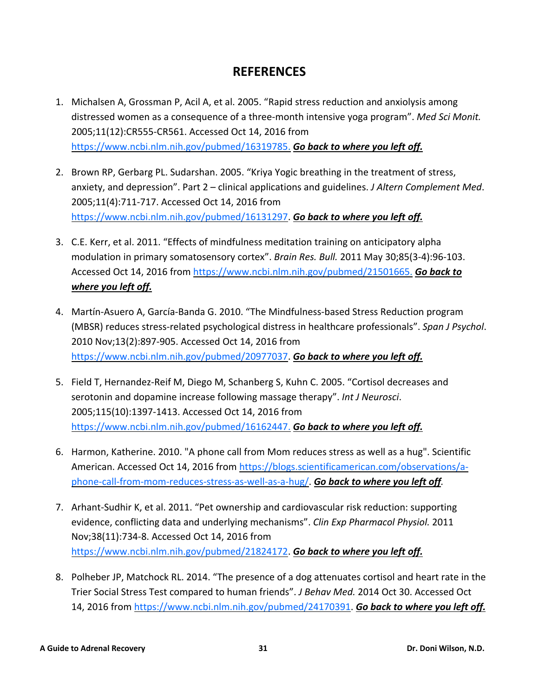## **REFERENCES**

- <span id="page-33-1"></span><span id="page-33-0"></span>1. Michalsen A, Grossman P, Acil A, et al. 2005. "Rapid stress reduction and anxiolysis among distressed women as a consequence of a three-month intensive yoga program". *Med Sci Monit.* 2005;11(12):CR555-CR561. Accessed Oct 14, 2016 from [https://www.ncbi.nlm.nih.gov/pubmed/16319785.](https://www.ncbi.nlm.nih.gov/pubmed/16319785) *Go back to [where](#page-23-2) you left off.*
- <span id="page-33-2"></span>2. Brown RP, Gerbarg PL. Sudarshan. 2005. "Kriya Yogic breathing in the treatment of stress, anxiety, and depression". Part 2 – clinical applications and guidelines. *J Altern Complement Med*. 2005;11(4):711-717. Accessed Oct 14, 2016 from [https://www.ncbi.nlm.nih.gov/pubmed/16131297.](https://www.ncbi.nlm.nih.gov/pubmed/16131297) *Go back to [where](#page-23-2) you left off.*
- <span id="page-33-3"></span>3. C.E. Kerr, et al. 2011. "Effects of mindfulness meditation training on anticipatory alpha modulation in primary somatosensory cortex". *Brain Res. Bull.* 2011 May 30;85(3-4):96-103. Accessed Oct 14, 2016 from [https://www.ncbi.nlm.nih.gov/pubmed/21501665.](https://www.ncbi.nlm.nih.gov/pubmed/21501665) *Go [back](#page-23-2) to [where](#page-23-2) you left off.*
- <span id="page-33-4"></span>4. Martín-Asuero A, García-Banda G. 2010. "The Mindfulness-based Stress Reduction program (MBSR) reduces stress-related psychological distress in healthcare professionals". *Span J Psychol*. 2010 Nov;13(2):897-905. Accessed Oct 14, 2016 from [https://www.ncbi.nlm.nih.gov/pubmed/20977037.](https://www.ncbi.nlm.nih.gov/pubmed/20977037) *Go back to [where](#page-23-2) you left off.*
- <span id="page-33-5"></span>5. Field T, Hernandez-Reif M, Diego M, Schanberg S, Kuhn C. 2005. "Cortisol decreases and serotonin and dopamine increase following massage therapy". *Int J Neurosci*. 2005;115(10):1397-1413. Accessed Oct 14, 2016 from [https://www.ncbi.nlm.nih.gov/pubmed/16162447.](https://www.ncbi.nlm.nih.gov/pubmed/16162447) *Go back to [where](#page-23-3) you left off.*
- <span id="page-33-6"></span>6. Harmon, Katherine. 2010. "A phone call from Mom reduces stress as well as a hug". Scientific American. Accessed Oct 14, 2016 from [https://blogs.scientificamerican.com/observations/a](https://blogs.scientificamerican.com/observations/a-phone-call-from-mom-reduces-stress-as-well-as-a-hug/)[phone-call-from-mom-reduces-stress-as-well-as-a-hug/.](https://blogs.scientificamerican.com/observations/a-phone-call-from-mom-reduces-stress-as-well-as-a-hug/) *Go back to [where](#page-24-2) you left off.*
- <span id="page-33-7"></span>7. Arhant-Sudhir K, et al. 2011. "Pet ownership and cardiovascular risk reduction: supporting evidence, conflicting data and underlying mechanisms". *Clin Exp Pharmacol Physiol.* 2011 Nov;38(11):734-8. Accessed Oct 14, 2016 from [https://www.ncbi.nlm.nih.gov/pubmed/21824172.](https://www.ncbi.nlm.nih.gov/pubmed/21824172) *Go back to [where](#page-24-3) you left off.*
- <span id="page-33-8"></span>8. Polheber JP, Matchock RL. 2014. "The presence of a dog attenuates cortisol and heart rate in the Trier Social Stress Test compared to human friends". *J Behav Med.* 2014 Oct 30. Accessed Oct 14, 2016 from [https://www.ncbi.nlm.nih.gov/pubmed/24170391.](https://www.ncbi.nlm.nih.gov/pubmed/24170391) *Go back to [where](#page-24-3) you left off.*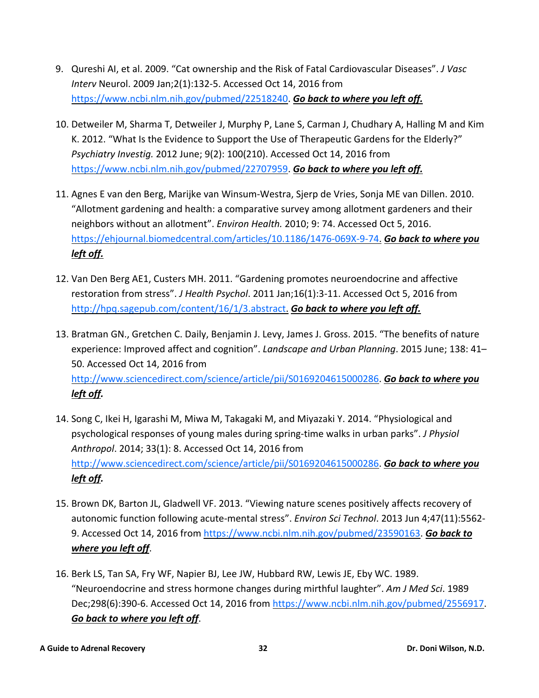- <span id="page-34-0"></span>9. Qureshi AI, et al. 2009. "Cat ownership and the Risk of Fatal Cardiovascular Diseases". *J Vasc Interv* Neurol. 2009 Jan;2(1):132-5. Accessed Oct 14, 2016 from [https://www.ncbi.nlm.nih.gov/pubmed/22518240.](https://www.ncbi.nlm.nih.gov/pubmed/22518240) *Go back to [where](#page-24-3) you left off.*
- <span id="page-34-2"></span>10. Detweiler M, Sharma T, Detweiler J, Murphy P, Lane S, Carman J, Chudhary A, Halling M and Kim K. 2012. "What Is the Evidence to Support the Use of Therapeutic Gardens for the Elderly?" *Psychiatry Investig.* 2012 June; 9(2): 100(210). Accessed Oct 14, 2016 from [https://www.ncbi.nlm.nih.gov/pubmed/22707959.](https://www.ncbi.nlm.nih.gov/pubmed/22707959) *Go back to [where](#page-24-4) you left off.*
- <span id="page-34-3"></span>11. Agnes E van den Berg, Marijke van Winsum-Westra, Sjerp de Vries, Sonja ME van Dillen. 2010. "Allotment gardening and health: a comparative survey among allotment gardeners and their neighbors without an allotment". *Environ Health.* 2010; 9: 74. Accessed Oct 5, 2016. [https://ehjournal.biomedcentral.com/articles/10.1186/1476-069X-9-74.](https://ehjournal.biomedcentral.com/articles/10.1186/1476-069X-9-74) *Go back to [where](#page-24-4) you left [off.](#page-24-4)*
- <span id="page-34-4"></span>12. Van Den Berg AE1, Custers MH. 2011. "Gardening promotes neuroendocrine and affective restoration from stress". *J Health Psychol*. 2011 Jan;16(1):3-11. Accessed Oct 5, 2016 from [http://hpq.sagepub.com/content/16/1/3.abstract.](http://hpq.sagepub.com/content/16/1/3.abstract) *Go back to [where](#page-24-4) you left off.*
- <span id="page-34-5"></span>13. Bratman GN., Gretchen C. Daily, Benjamin J. Levy, James J. Gross. 2015. "The benefits of nature experience: Improved affect and cognition". *Landscape and Urban Planning*. 2015 June; 138: 41– 50. Accessed Oct 14, 2016 from [http://www.sciencedirect.com/science/article/pii/S0169204615000286.](http://www.sciencedirect.com/science/article/pii/S0169204615000286) *Go back to [where](#page-24-5) you [left](#page-24-5) off.*
- <span id="page-34-6"></span>14. Song C, Ikei H, Igarashi M, Miwa M, Takagaki M, and Miyazaki Y. 2014. "Physiological and psychological responses of young males during spring-time walks in urban parks". *J Physiol Anthropol*. 2014; 33(1): 8. Accessed Oct 14, 2016 from [http://www.sciencedirect.com/science/article/pii/S0169204615000286.](http://www.sciencedirect.com/science/article/pii/S0169204615000286) *Go back to [where](#page-24-5) you [left](#page-24-5) off.*
- <span id="page-34-1"></span>15. Brown DK, Barton JL, Gladwell VF. 2013. "Viewing nature scenes positively affects recovery of autonomic function following acute-mental stress". *Environ Sci Technol*. 2013 Jun 4;47(11):5562- 9. Accessed Oct 14, 2016 from [https://www.ncbi.nlm.nih.gov/pubmed/23590163.](https://www.ncbi.nlm.nih.gov/pubmed/23590163) *Go [back](#page-24-6) to [where](#page-24-6) you left off*.
- <span id="page-34-7"></span>16. Berk LS, Tan SA, Fry WF, Napier BJ, Lee JW, Hubbard RW, Lewis JE, Eby WC. 1989. "Neuroendocrine and stress hormone changes during mirthful laughter". *Am J Med Sci*. 1989 Dec;298(6):390-6. Accessed Oct 14, 2016 from [https://www.ncbi.nlm.nih.gov/pubmed/2556917.](https://www.ncbi.nlm.nih.gov/pubmed/2556917) *Go back to [where](#page-25-2) you left off*.